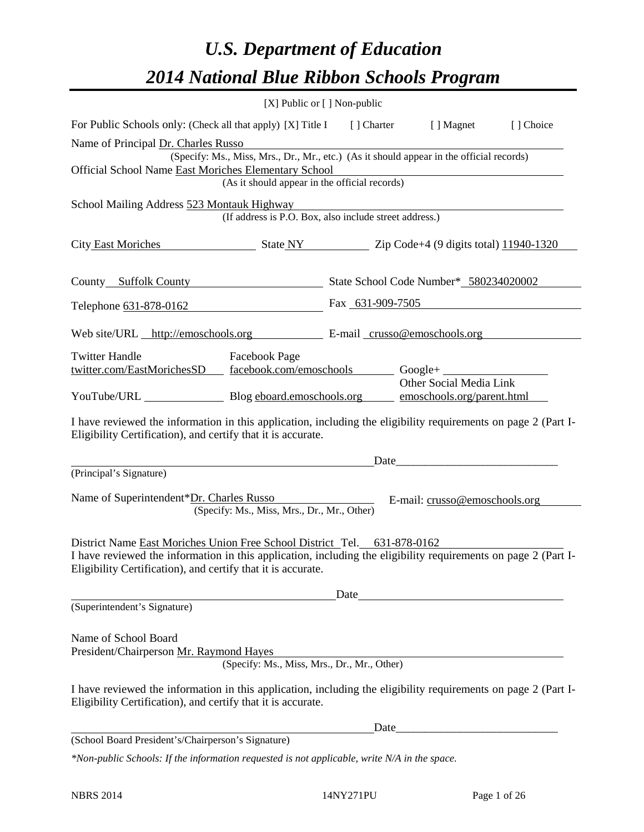# *U.S. Department of Education 2014 National Blue Ribbon Schools Program*

|                                                                                                                                                                                                                                                            | [X] Public or [] Non-public                                                              |      |                               |  |  |  |  |  |
|------------------------------------------------------------------------------------------------------------------------------------------------------------------------------------------------------------------------------------------------------------|------------------------------------------------------------------------------------------|------|-------------------------------|--|--|--|--|--|
| For Public Schools only: (Check all that apply) [X] Title I [] Charter<br>[] Choice<br>[ ] Magnet                                                                                                                                                          |                                                                                          |      |                               |  |  |  |  |  |
| Name of Principal Dr. Charles Russo                                                                                                                                                                                                                        |                                                                                          |      |                               |  |  |  |  |  |
|                                                                                                                                                                                                                                                            | (Specify: Ms., Miss, Mrs., Dr., Mr., etc.) (As it should appear in the official records) |      |                               |  |  |  |  |  |
| Official School Name East Moriches Elementary School<br>(As it should appear in the official records)                                                                                                                                                      |                                                                                          |      |                               |  |  |  |  |  |
| School Mailing Address 523 Montauk Highway                                                                                                                                                                                                                 |                                                                                          |      |                               |  |  |  |  |  |
|                                                                                                                                                                                                                                                            | (If address is P.O. Box, also include street address.)                                   |      |                               |  |  |  |  |  |
| City East Moriches State NY 2ip Code+4 (9 digits total) 11940-1320                                                                                                                                                                                         |                                                                                          |      |                               |  |  |  |  |  |
|                                                                                                                                                                                                                                                            |                                                                                          |      |                               |  |  |  |  |  |
| County Suffolk County                                                                                                                                                                                                                                      | State School Code Number* 580234020002                                                   |      |                               |  |  |  |  |  |
| Telephone 631-878-0162                                                                                                                                                                                                                                     |                                                                                          |      | Fax 631-909-7505              |  |  |  |  |  |
| Web site/URL http://emoschools.org E-mail crusso@emoschools.org                                                                                                                                                                                            |                                                                                          |      |                               |  |  |  |  |  |
|                                                                                                                                                                                                                                                            |                                                                                          |      |                               |  |  |  |  |  |
| <b>Twitter Handle</b><br>twitter.com/EastMorichesSD                                                                                                                                                                                                        | Facebook Page                                                                            |      |                               |  |  |  |  |  |
|                                                                                                                                                                                                                                                            |                                                                                          |      | Other Social Media Link       |  |  |  |  |  |
| YouTube/URL Blog eboard.emoschools.org emoschools.org/parent.html                                                                                                                                                                                          |                                                                                          |      |                               |  |  |  |  |  |
| I have reviewed the information in this application, including the eligibility requirements on page 2 (Part I-<br>Eligibility Certification), and certify that it is accurate.                                                                             |                                                                                          | Date |                               |  |  |  |  |  |
| (Principal's Signature)                                                                                                                                                                                                                                    |                                                                                          |      |                               |  |  |  |  |  |
| Name of Superintendent*Dr. Charles Russo                                                                                                                                                                                                                   | (Specify: Ms., Miss, Mrs., Dr., Mr., Other)                                              |      | E-mail: crusso@emoschools.org |  |  |  |  |  |
| District Name East Moriches Union Free School District Tel. 631-878-0162<br>I have reviewed the information in this application, including the eligibility requirements on page 2 (Part I-<br>Eligibility Certification), and certify that it is accurate. |                                                                                          | Date |                               |  |  |  |  |  |
| (Superintendent's Signature)                                                                                                                                                                                                                               |                                                                                          |      |                               |  |  |  |  |  |
| Name of School Board<br>President/Chairperson Mr. Raymond Hayes                                                                                                                                                                                            | (Specify: Ms., Miss, Mrs., Dr., Mr., Other)                                              |      |                               |  |  |  |  |  |
| I have reviewed the information in this application, including the eligibility requirements on page 2 (Part I-<br>Eligibility Certification), and certify that it is accurate.                                                                             |                                                                                          |      |                               |  |  |  |  |  |
|                                                                                                                                                                                                                                                            |                                                                                          | Date |                               |  |  |  |  |  |
| (School Board President's/Chairperson's Signature)                                                                                                                                                                                                         |                                                                                          |      |                               |  |  |  |  |  |
| *Non-public Schools: If the information requested is not applicable, write N/A in the space.                                                                                                                                                               |                                                                                          |      |                               |  |  |  |  |  |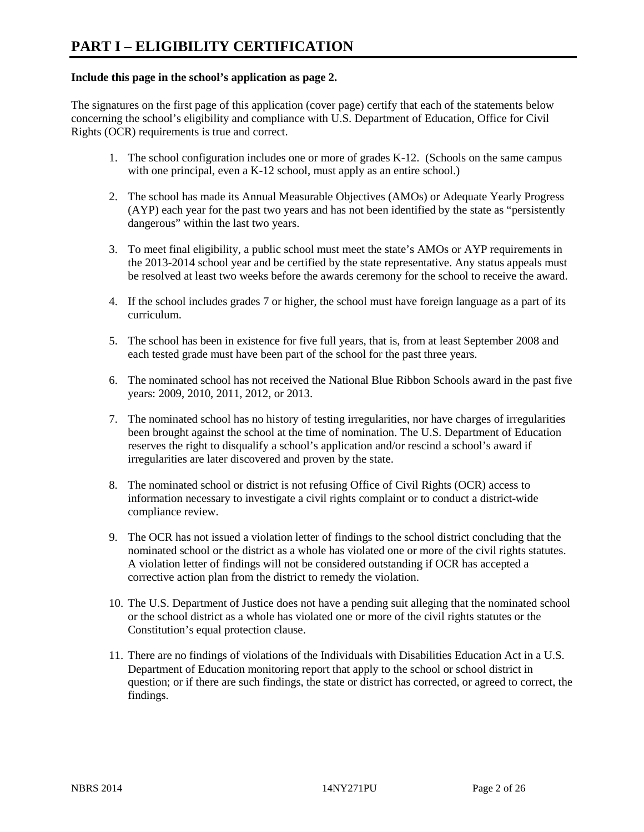### **Include this page in the school's application as page 2.**

The signatures on the first page of this application (cover page) certify that each of the statements below concerning the school's eligibility and compliance with U.S. Department of Education, Office for Civil Rights (OCR) requirements is true and correct.

- 1. The school configuration includes one or more of grades K-12. (Schools on the same campus with one principal, even a K-12 school, must apply as an entire school.)
- 2. The school has made its Annual Measurable Objectives (AMOs) or Adequate Yearly Progress (AYP) each year for the past two years and has not been identified by the state as "persistently dangerous" within the last two years.
- 3. To meet final eligibility, a public school must meet the state's AMOs or AYP requirements in the 2013-2014 school year and be certified by the state representative. Any status appeals must be resolved at least two weeks before the awards ceremony for the school to receive the award.
- 4. If the school includes grades 7 or higher, the school must have foreign language as a part of its curriculum.
- 5. The school has been in existence for five full years, that is, from at least September 2008 and each tested grade must have been part of the school for the past three years.
- 6. The nominated school has not received the National Blue Ribbon Schools award in the past five years: 2009, 2010, 2011, 2012, or 2013.
- 7. The nominated school has no history of testing irregularities, nor have charges of irregularities been brought against the school at the time of nomination. The U.S. Department of Education reserves the right to disqualify a school's application and/or rescind a school's award if irregularities are later discovered and proven by the state.
- 8. The nominated school or district is not refusing Office of Civil Rights (OCR) access to information necessary to investigate a civil rights complaint or to conduct a district-wide compliance review.
- 9. The OCR has not issued a violation letter of findings to the school district concluding that the nominated school or the district as a whole has violated one or more of the civil rights statutes. A violation letter of findings will not be considered outstanding if OCR has accepted a corrective action plan from the district to remedy the violation.
- 10. The U.S. Department of Justice does not have a pending suit alleging that the nominated school or the school district as a whole has violated one or more of the civil rights statutes or the Constitution's equal protection clause.
- 11. There are no findings of violations of the Individuals with Disabilities Education Act in a U.S. Department of Education monitoring report that apply to the school or school district in question; or if there are such findings, the state or district has corrected, or agreed to correct, the findings.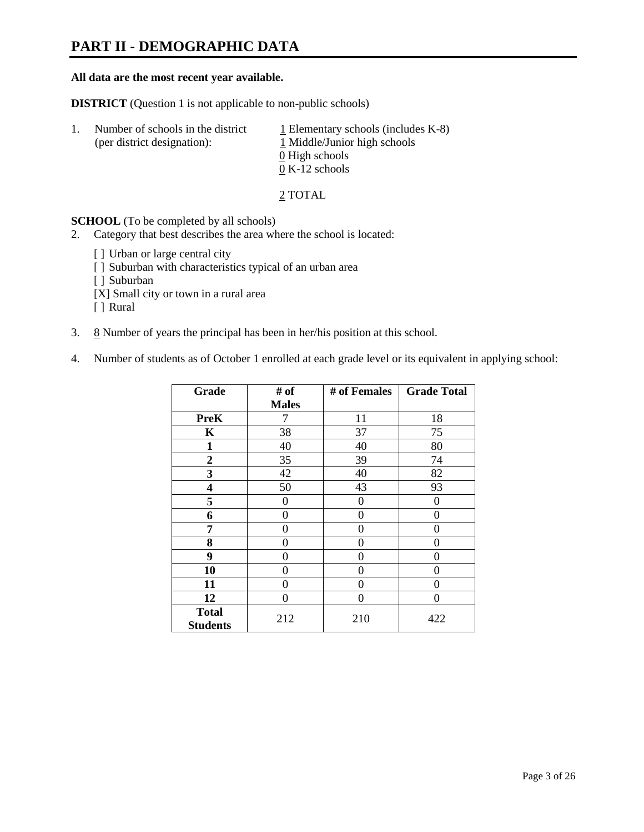# **PART II - DEMOGRAPHIC DATA**

#### **All data are the most recent year available.**

**DISTRICT** (Question 1 is not applicable to non-public schools)

| 1. | Number of schools in the district<br>(per district designation): | $\perp$ Elementary schools (includes K-8)<br>1 Middle/Junior high schools<br>0 High schools<br>$0 K-12$ schools |
|----|------------------------------------------------------------------|-----------------------------------------------------------------------------------------------------------------|
|    |                                                                  |                                                                                                                 |

2 TOTAL

**SCHOOL** (To be completed by all schools)

- 2. Category that best describes the area where the school is located:
	- [] Urban or large central city
	- [ ] Suburban with characteristics typical of an urban area
	- [ ] Suburban
	- [X] Small city or town in a rural area
	- [ ] Rural
- 3.  $8$  Number of years the principal has been in her/his position at this school.
- 4. Number of students as of October 1 enrolled at each grade level or its equivalent in applying school:

| Grade                           | # of         | # of Females | <b>Grade Total</b> |
|---------------------------------|--------------|--------------|--------------------|
|                                 | <b>Males</b> |              |                    |
| <b>PreK</b>                     | 7            | 11           | 18                 |
| K                               | 38           | 37           | 75                 |
| $\mathbf{1}$                    | 40           | 40           | 80                 |
| $\mathbf{2}$                    | 35           | 39           | 74                 |
| 3                               | 42           | 40           | 82                 |
| 4                               | 50           | 43           | 93                 |
| 5                               | 0            | 0            | 0                  |
| 6                               | $\theta$     | 0            | 0                  |
| 7                               | 0            | $\theta$     | 0                  |
| 8                               | 0            | 0            | 0                  |
| 9                               | $\theta$     | $\theta$     | 0                  |
| 10                              | 0            | 0            | 0                  |
| 11                              | 0            | 0            | 0                  |
| 12                              | 0            | 0            | 0                  |
| <b>Total</b><br><b>Students</b> | 212          | 210          | 422                |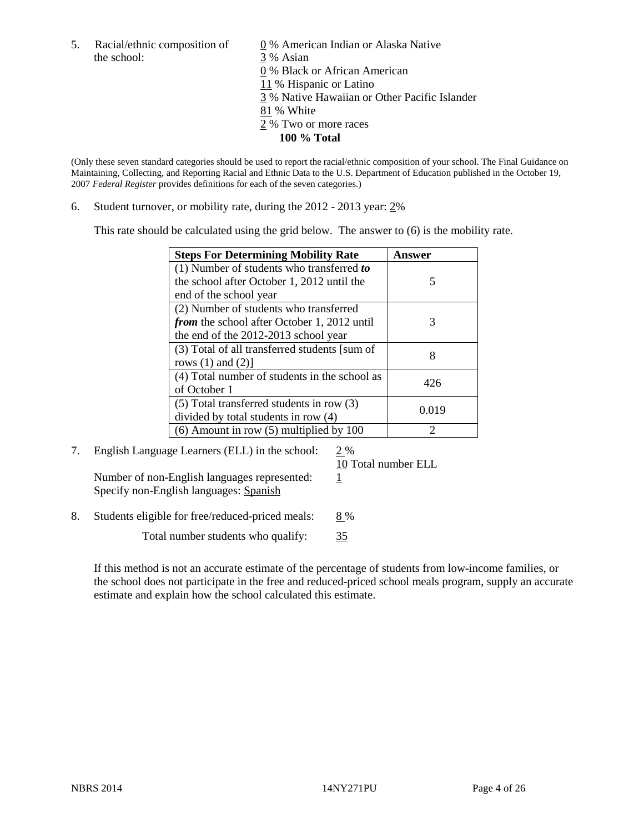the school: 3 % Asian

5. Racial/ethnic composition of  $\qquad \qquad \underline{0}$  % American Indian or Alaska Native 0 % Black or African American 11 % Hispanic or Latino 3 % Native Hawaiian or Other Pacific Islander 81 % White 2 % Two or more races **100 % Total**

(Only these seven standard categories should be used to report the racial/ethnic composition of your school. The Final Guidance on Maintaining, Collecting, and Reporting Racial and Ethnic Data to the U.S. Department of Education published in the October 19, 2007 *Federal Register* provides definitions for each of the seven categories.)

6. Student turnover, or mobility rate, during the 2012 - 2013 year: 2%

This rate should be calculated using the grid below. The answer to (6) is the mobility rate.

| <b>Steps For Determining Mobility Rate</b>         | <b>Answer</b> |
|----------------------------------------------------|---------------|
| (1) Number of students who transferred to          |               |
| the school after October 1, 2012 until the         | 5             |
| end of the school year                             |               |
| (2) Number of students who transferred             |               |
| <i>from</i> the school after October 1, 2012 until | 3             |
| the end of the 2012-2013 school year               |               |
| (3) Total of all transferred students [sum of      | 8             |
| rows $(1)$ and $(2)$ ]                             |               |
| (4) Total number of students in the school as      | 426           |
| of October 1                                       |               |
| $(5)$ Total transferred students in row $(3)$      | 0.019         |
| divided by total students in row (4)               |               |
| $(6)$ Amount in row $(5)$ multiplied by 100        | っ             |

7. English Language Learners (ELL) in the school: 2 %

10 Total number ELL

Number of non-English languages represented:  $1$ Specify non-English languages: Spanish

8. Students eligible for free/reduced-priced meals: 8 %

Total number students who qualify:  $\frac{35}{35}$ 

If this method is not an accurate estimate of the percentage of students from low-income families, or the school does not participate in the free and reduced-priced school meals program, supply an accurate estimate and explain how the school calculated this estimate.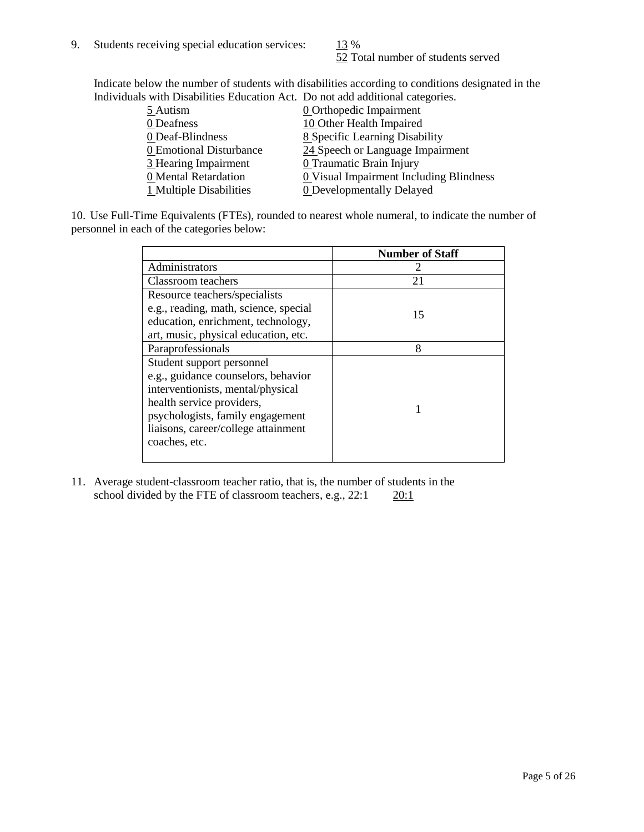52 Total number of students served

Indicate below the number of students with disabilities according to conditions designated in the Individuals with Disabilities Education Act. Do not add additional categories.

|                         | "The Drowomnos Budgetton I fee. Do not due authorite categories" |
|-------------------------|------------------------------------------------------------------|
| 5 Autism                | <b>0</b> Orthopedic Impairment                                   |
| 0 Deafness              | 10 Other Health Impaired                                         |
| 0 Deaf-Blindness        | 8 Specific Learning Disability                                   |
| 0 Emotional Disturbance | 24 Speech or Language Impairment                                 |
| 3 Hearing Impairment    | 0 Traumatic Brain Injury                                         |
| 0 Mental Retardation    | <b>0</b> Visual Impairment Including Blindness                   |
| 1 Multiple Disabilities | <b>0</b> Developmentally Delayed                                 |
|                         |                                                                  |

10. Use Full-Time Equivalents (FTEs), rounded to nearest whole numeral, to indicate the number of personnel in each of the categories below:

|                                       | <b>Number of Staff</b> |
|---------------------------------------|------------------------|
| Administrators                        |                        |
| Classroom teachers                    | 21                     |
| Resource teachers/specialists         |                        |
| e.g., reading, math, science, special | 15                     |
| education, enrichment, technology,    |                        |
| art, music, physical education, etc.  |                        |
| Paraprofessionals                     | 8                      |
| Student support personnel             |                        |
| e.g., guidance counselors, behavior   |                        |
| interventionists, mental/physical     |                        |
| health service providers,             |                        |
| psychologists, family engagement      |                        |
| liaisons, career/college attainment   |                        |
| coaches, etc.                         |                        |
|                                       |                        |

11. Average student-classroom teacher ratio, that is, the number of students in the school divided by the FTE of classroom teachers, e.g.,  $22:1$   $20:1$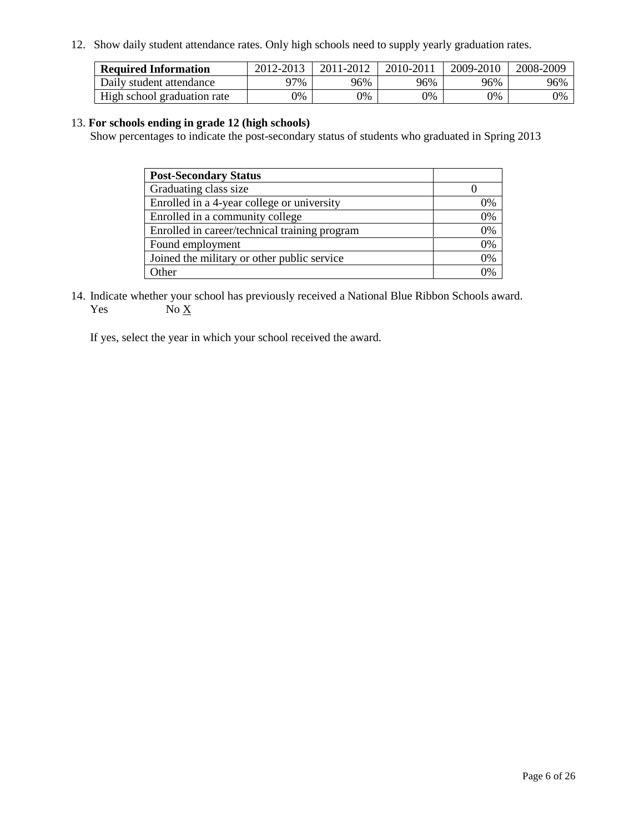12. Show daily student attendance rates. Only high schools need to supply yearly graduation rates.

| <b>Required Information</b> | 2012-2013 | 2011-2012 | 2010-2011 | 2009-2010 | 2008-2009 |
|-----------------------------|-----------|-----------|-----------|-----------|-----------|
| Daily student attendance    | 97%       | 96%       | 96%       | 96%       | 96%       |
| High school graduation rate | 9%        | 0%        | 0%        | 0%        | 0%        |

#### 13. **For schools ending in grade 12 (high schools)**

Show percentages to indicate the post-secondary status of students who graduated in Spring 2013

| <b>Post-Secondary Status</b>                  |          |
|-----------------------------------------------|----------|
| Graduating class size                         |          |
| Enrolled in a 4-year college or university    | 0%       |
| Enrolled in a community college               | 0%       |
| Enrolled in career/technical training program | 0%       |
| Found employment                              | 0%       |
| Joined the military or other public service   | 0%       |
| . Other                                       | $\gamma$ |

14. Indicate whether your school has previously received a National Blue Ribbon Schools award. Yes  $No X$ 

If yes, select the year in which your school received the award.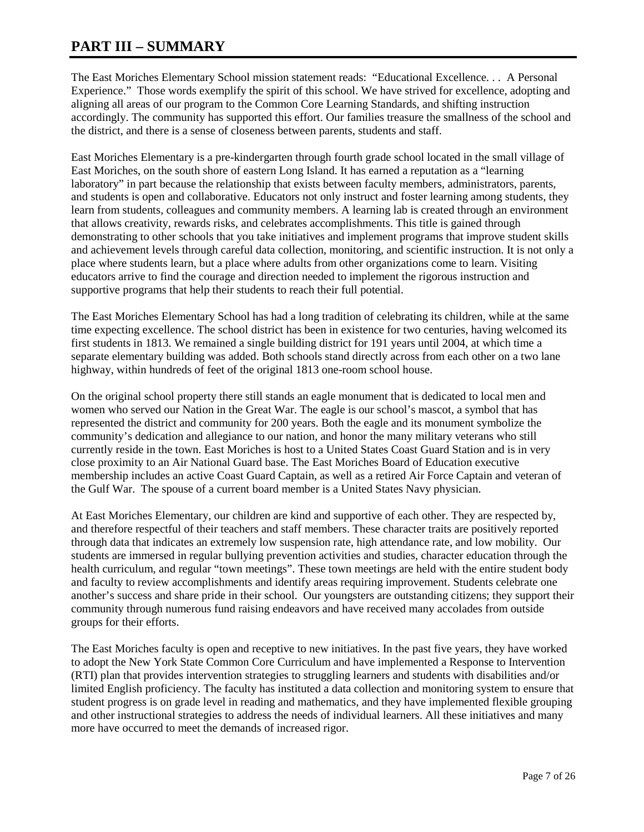# **PART III – SUMMARY**

The East Moriches Elementary School mission statement reads: "Educational Excellence. . . A Personal Experience." Those words exemplify the spirit of this school. We have strived for excellence, adopting and aligning all areas of our program to the Common Core Learning Standards, and shifting instruction accordingly. The community has supported this effort. Our families treasure the smallness of the school and the district, and there is a sense of closeness between parents, students and staff.

East Moriches Elementary is a pre-kindergarten through fourth grade school located in the small village of East Moriches, on the south shore of eastern Long Island. It has earned a reputation as a "learning laboratory" in part because the relationship that exists between faculty members, administrators, parents, and students is open and collaborative. Educators not only instruct and foster learning among students, they learn from students, colleagues and community members. A learning lab is created through an environment that allows creativity, rewards risks, and celebrates accomplishments. This title is gained through demonstrating to other schools that you take initiatives and implement programs that improve student skills and achievement levels through careful data collection, monitoring, and scientific instruction. It is not only a place where students learn, but a place where adults from other organizations come to learn. Visiting educators arrive to find the courage and direction needed to implement the rigorous instruction and supportive programs that help their students to reach their full potential.

The East Moriches Elementary School has had a long tradition of celebrating its children, while at the same time expecting excellence. The school district has been in existence for two centuries, having welcomed its first students in 1813. We remained a single building district for 191 years until 2004, at which time a separate elementary building was added. Both schools stand directly across from each other on a two lane highway, within hundreds of feet of the original 1813 one-room school house.

On the original school property there still stands an eagle monument that is dedicated to local men and women who served our Nation in the Great War. The eagle is our school's mascot, a symbol that has represented the district and community for 200 years. Both the eagle and its monument symbolize the community's dedication and allegiance to our nation, and honor the many military veterans who still currently reside in the town. East Moriches is host to a United States Coast Guard Station and is in very close proximity to an Air National Guard base. The East Moriches Board of Education executive membership includes an active Coast Guard Captain, as well as a retired Air Force Captain and veteran of the Gulf War. The spouse of a current board member is a United States Navy physician.

At East Moriches Elementary, our children are kind and supportive of each other. They are respected by, and therefore respectful of their teachers and staff members. These character traits are positively reported through data that indicates an extremely low suspension rate, high attendance rate, and low mobility. Our students are immersed in regular bullying prevention activities and studies, character education through the health curriculum, and regular "town meetings". These town meetings are held with the entire student body and faculty to review accomplishments and identify areas requiring improvement. Students celebrate one another's success and share pride in their school. Our youngsters are outstanding citizens; they support their community through numerous fund raising endeavors and have received many accolades from outside groups for their efforts.

The East Moriches faculty is open and receptive to new initiatives. In the past five years, they have worked to adopt the New York State Common Core Curriculum and have implemented a Response to Intervention (RTI) plan that provides intervention strategies to struggling learners and students with disabilities and/or limited English proficiency. The faculty has instituted a data collection and monitoring system to ensure that student progress is on grade level in reading and mathematics, and they have implemented flexible grouping and other instructional strategies to address the needs of individual learners. All these initiatives and many more have occurred to meet the demands of increased rigor.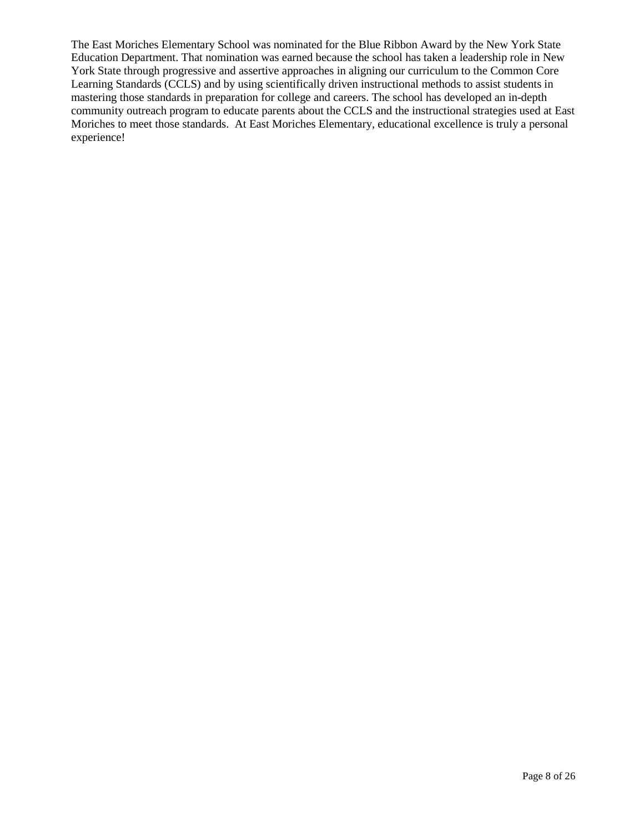The East Moriches Elementary School was nominated for the Blue Ribbon Award by the New York State Education Department. That nomination was earned because the school has taken a leadership role in New York State through progressive and assertive approaches in aligning our curriculum to the Common Core Learning Standards (CCLS) and by using scientifically driven instructional methods to assist students in mastering those standards in preparation for college and careers. The school has developed an in-depth community outreach program to educate parents about the CCLS and the instructional strategies used at East Moriches to meet those standards. At East Moriches Elementary, educational excellence is truly a personal experience!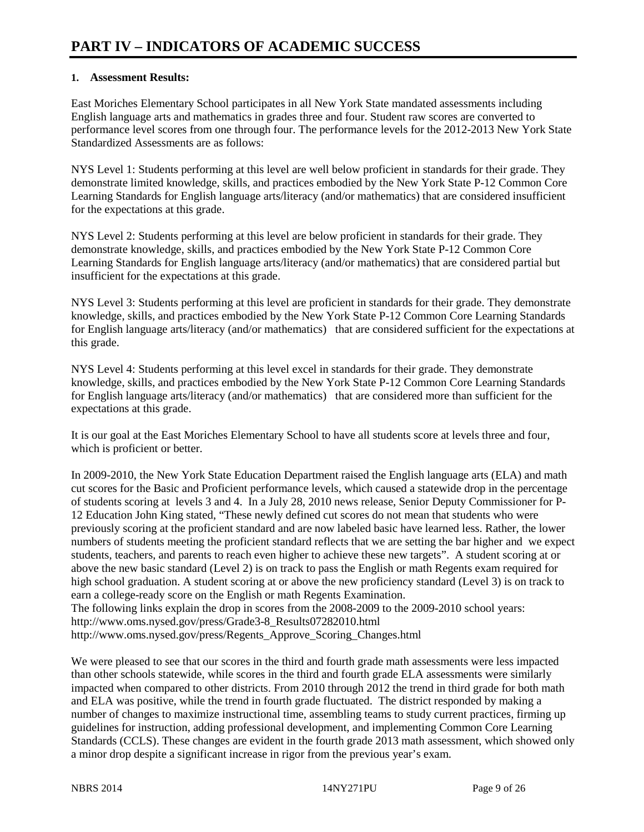### **1. Assessment Results:**

East Moriches Elementary School participates in all New York State mandated assessments including English language arts and mathematics in grades three and four. Student raw scores are converted to performance level scores from one through four. The performance levels for the 2012-2013 New York State Standardized Assessments are as follows:

NYS Level 1: Students performing at this level are well below proficient in standards for their grade. They demonstrate limited knowledge, skills, and practices embodied by the New York State P-12 Common Core Learning Standards for English language arts/literacy (and/or mathematics) that are considered insufficient for the expectations at this grade.

NYS Level 2: Students performing at this level are below proficient in standards for their grade. They demonstrate knowledge, skills, and practices embodied by the New York State P-12 Common Core Learning Standards for English language arts/literacy (and/or mathematics) that are considered partial but insufficient for the expectations at this grade.

NYS Level 3: Students performing at this level are proficient in standards for their grade. They demonstrate knowledge, skills, and practices embodied by the New York State P-12 Common Core Learning Standards for English language arts/literacy (and/or mathematics) that are considered sufficient for the expectations at this grade.

NYS Level 4: Students performing at this level excel in standards for their grade. They demonstrate knowledge, skills, and practices embodied by the New York State P-12 Common Core Learning Standards for English language arts/literacy (and/or mathematics) that are considered more than sufficient for the expectations at this grade.

It is our goal at the East Moriches Elementary School to have all students score at levels three and four, which is proficient or better.

In 2009-2010, the New York State Education Department raised the English language arts (ELA) and math cut scores for the Basic and Proficient performance levels, which caused a statewide drop in the percentage of students scoring at levels 3 and 4. In a July 28, 2010 news release, Senior Deputy Commissioner for P-12 Education John King stated, "These newly defined cut scores do not mean that students who were previously scoring at the proficient standard and are now labeled basic have learned less. Rather, the lower numbers of students meeting the proficient standard reflects that we are setting the bar higher and we expect students, teachers, and parents to reach even higher to achieve these new targets". A student scoring at or above the new basic standard (Level 2) is on track to pass the English or math Regents exam required for high school graduation. A student scoring at or above the new proficiency standard (Level 3) is on track to earn a college-ready score on the English or math Regents Examination. The following links explain the drop in scores from the 2008-2009 to the 2009-2010 school years: http://www.oms.nysed.gov/press/Grade3-8\_Results07282010.html

http://www.oms.nysed.gov/press/Regents\_Approve\_Scoring\_Changes.html

We were pleased to see that our scores in the third and fourth grade math assessments were less impacted than other schools statewide, while scores in the third and fourth grade ELA assessments were similarly impacted when compared to other districts. From 2010 through 2012 the trend in third grade for both math and ELA was positive, while the trend in fourth grade fluctuated. The district responded by making a number of changes to maximize instructional time, assembling teams to study current practices, firming up guidelines for instruction, adding professional development, and implementing Common Core Learning Standards (CCLS). These changes are evident in the fourth grade 2013 math assessment, which showed only a minor drop despite a significant increase in rigor from the previous year's exam.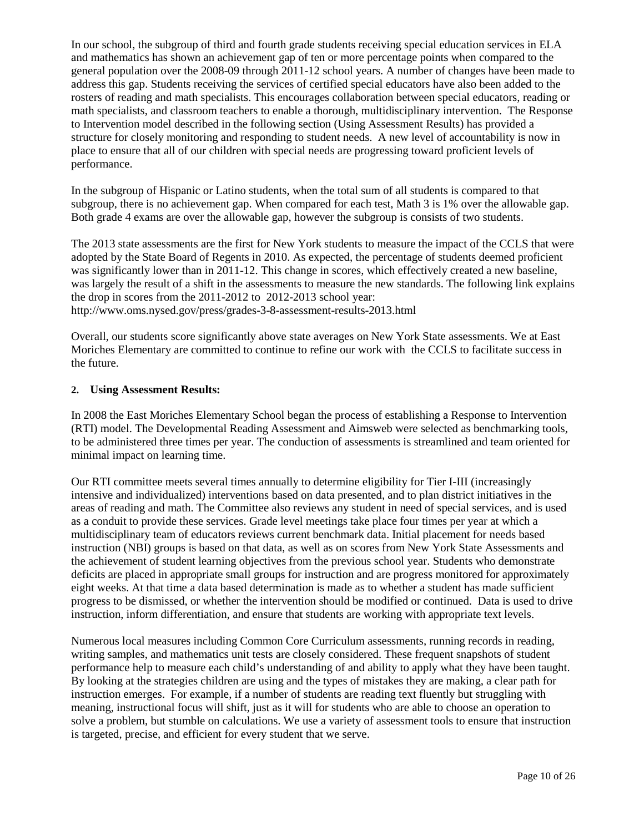In our school, the subgroup of third and fourth grade students receiving special education services in ELA and mathematics has shown an achievement gap of ten or more percentage points when compared to the general population over the 2008-09 through 2011-12 school years. A number of changes have been made to address this gap. Students receiving the services of certified special educators have also been added to the rosters of reading and math specialists. This encourages collaboration between special educators, reading or math specialists, and classroom teachers to enable a thorough, multidisciplinary intervention. The Response to Intervention model described in the following section (Using Assessment Results) has provided a structure for closely monitoring and responding to student needs. A new level of accountability is now in place to ensure that all of our children with special needs are progressing toward proficient levels of performance.

In the subgroup of Hispanic or Latino students, when the total sum of all students is compared to that subgroup, there is no achievement gap. When compared for each test, Math 3 is 1% over the allowable gap. Both grade 4 exams are over the allowable gap, however the subgroup is consists of two students.

The 2013 state assessments are the first for New York students to measure the impact of the CCLS that were adopted by the State Board of Regents in 2010. As expected, the percentage of students deemed proficient was significantly lower than in 2011-12. This change in scores, which effectively created a new baseline, was largely the result of a shift in the assessments to measure the new standards. The following link explains the drop in scores from the 2011-2012 to 2012-2013 school year: http://www.oms.nysed.gov/press/grades-3-8-assessment-results-2013.html

Overall, our students score significantly above state averages on New York State assessments. We at East Moriches Elementary are committed to continue to refine our work with the CCLS to facilitate success in the future.

#### **2. Using Assessment Results:**

In 2008 the East Moriches Elementary School began the process of establishing a Response to Intervention (RTI) model. The Developmental Reading Assessment and Aimsweb were selected as benchmarking tools, to be administered three times per year. The conduction of assessments is streamlined and team oriented for minimal impact on learning time.

Our RTI committee meets several times annually to determine eligibility for Tier I-III (increasingly intensive and individualized) interventions based on data presented, and to plan district initiatives in the areas of reading and math. The Committee also reviews any student in need of special services, and is used as a conduit to provide these services. Grade level meetings take place four times per year at which a multidisciplinary team of educators reviews current benchmark data. Initial placement for needs based instruction (NBI) groups is based on that data, as well as on scores from New York State Assessments and the achievement of student learning objectives from the previous school year. Students who demonstrate deficits are placed in appropriate small groups for instruction and are progress monitored for approximately eight weeks. At that time a data based determination is made as to whether a student has made sufficient progress to be dismissed, or whether the intervention should be modified or continued. Data is used to drive instruction, inform differentiation, and ensure that students are working with appropriate text levels.

Numerous local measures including Common Core Curriculum assessments, running records in reading, writing samples, and mathematics unit tests are closely considered. These frequent snapshots of student performance help to measure each child's understanding of and ability to apply what they have been taught. By looking at the strategies children are using and the types of mistakes they are making, a clear path for instruction emerges. For example, if a number of students are reading text fluently but struggling with meaning, instructional focus will shift, just as it will for students who are able to choose an operation to solve a problem, but stumble on calculations. We use a variety of assessment tools to ensure that instruction is targeted, precise, and efficient for every student that we serve.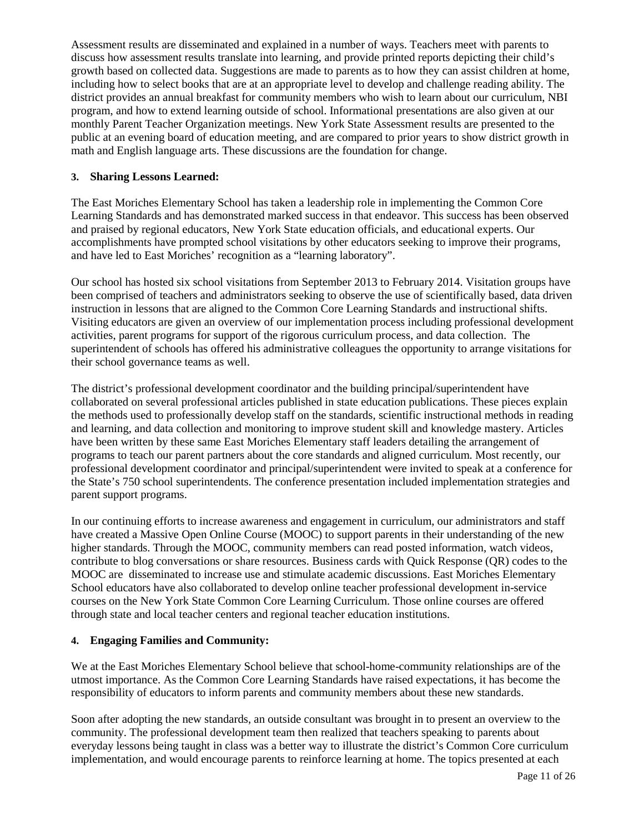Assessment results are disseminated and explained in a number of ways. Teachers meet with parents to discuss how assessment results translate into learning, and provide printed reports depicting their child's growth based on collected data. Suggestions are made to parents as to how they can assist children at home, including how to select books that are at an appropriate level to develop and challenge reading ability. The district provides an annual breakfast for community members who wish to learn about our curriculum, NBI program, and how to extend learning outside of school. Informational presentations are also given at our monthly Parent Teacher Organization meetings. New York State Assessment results are presented to the public at an evening board of education meeting, and are compared to prior years to show district growth in math and English language arts. These discussions are the foundation for change.

### **3. Sharing Lessons Learned:**

The East Moriches Elementary School has taken a leadership role in implementing the Common Core Learning Standards and has demonstrated marked success in that endeavor. This success has been observed and praised by regional educators, New York State education officials, and educational experts. Our accomplishments have prompted school visitations by other educators seeking to improve their programs, and have led to East Moriches' recognition as a "learning laboratory".

Our school has hosted six school visitations from September 2013 to February 2014. Visitation groups have been comprised of teachers and administrators seeking to observe the use of scientifically based, data driven instruction in lessons that are aligned to the Common Core Learning Standards and instructional shifts. Visiting educators are given an overview of our implementation process including professional development activities, parent programs for support of the rigorous curriculum process, and data collection. The superintendent of schools has offered his administrative colleagues the opportunity to arrange visitations for their school governance teams as well.

The district's professional development coordinator and the building principal/superintendent have collaborated on several professional articles published in state education publications. These pieces explain the methods used to professionally develop staff on the standards, scientific instructional methods in reading and learning, and data collection and monitoring to improve student skill and knowledge mastery. Articles have been written by these same East Moriches Elementary staff leaders detailing the arrangement of programs to teach our parent partners about the core standards and aligned curriculum. Most recently, our professional development coordinator and principal/superintendent were invited to speak at a conference for the State's 750 school superintendents. The conference presentation included implementation strategies and parent support programs.

In our continuing efforts to increase awareness and engagement in curriculum, our administrators and staff have created a Massive Open Online Course (MOOC) to support parents in their understanding of the new higher standards. Through the MOOC, community members can read posted information, watch videos, contribute to blog conversations or share resources. Business cards with Quick Response (QR) codes to the MOOC are disseminated to increase use and stimulate academic discussions. East Moriches Elementary School educators have also collaborated to develop online teacher professional development in-service courses on the New York State Common Core Learning Curriculum. Those online courses are offered through state and local teacher centers and regional teacher education institutions.

#### **4. Engaging Families and Community:**

We at the East Moriches Elementary School believe that school-home-community relationships are of the utmost importance. As the Common Core Learning Standards have raised expectations, it has become the responsibility of educators to inform parents and community members about these new standards.

Soon after adopting the new standards, an outside consultant was brought in to present an overview to the community. The professional development team then realized that teachers speaking to parents about everyday lessons being taught in class was a better way to illustrate the district's Common Core curriculum implementation, and would encourage parents to reinforce learning at home. The topics presented at each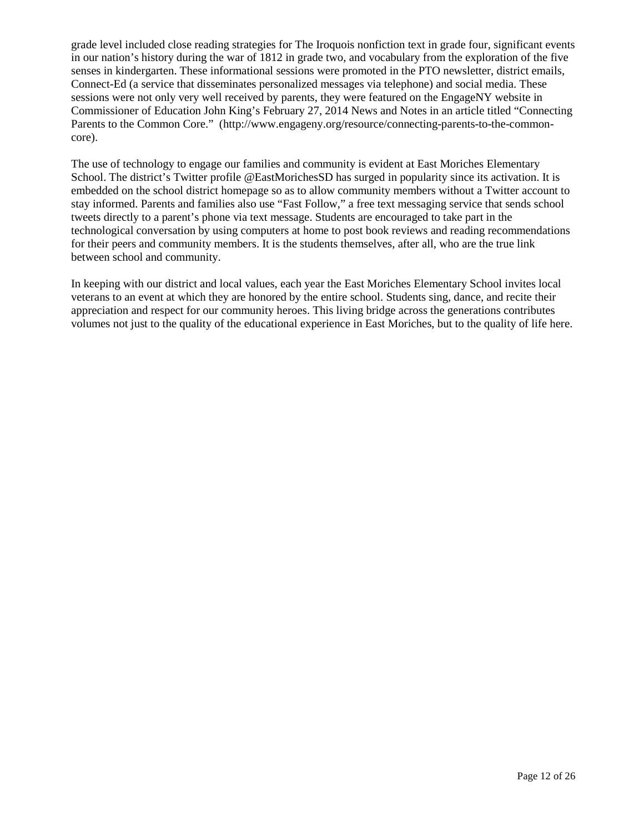grade level included close reading strategies for The Iroquois nonfiction text in grade four, significant events in our nation's history during the war of 1812 in grade two, and vocabulary from the exploration of the five senses in kindergarten. These informational sessions were promoted in the PTO newsletter, district emails, Connect-Ed (a service that disseminates personalized messages via telephone) and social media. These sessions were not only very well received by parents, they were featured on the EngageNY website in Commissioner of Education John King's February 27, 2014 News and Notes in an article titled "Connecting Parents to the Common Core." (http://www.engageny.org/resource/connecting-parents-to-the-commoncore).

The use of technology to engage our families and community is evident at East Moriches Elementary School. The district's Twitter profile @EastMorichesSD has surged in popularity since its activation. It is embedded on the school district homepage so as to allow community members without a Twitter account to stay informed. Parents and families also use "Fast Follow," a free text messaging service that sends school tweets directly to a parent's phone via text message. Students are encouraged to take part in the technological conversation by using computers at home to post book reviews and reading recommendations for their peers and community members. It is the students themselves, after all, who are the true link between school and community.

In keeping with our district and local values, each year the East Moriches Elementary School invites local veterans to an event at which they are honored by the entire school. Students sing, dance, and recite their appreciation and respect for our community heroes. This living bridge across the generations contributes volumes not just to the quality of the educational experience in East Moriches, but to the quality of life here.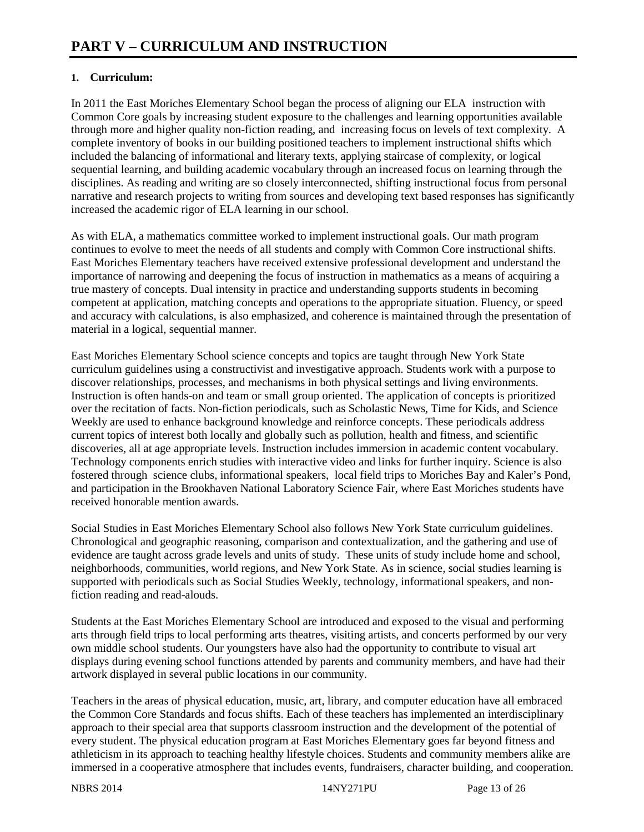## **1. Curriculum:**

In 2011 the East Moriches Elementary School began the process of aligning our ELA instruction with Common Core goals by increasing student exposure to the challenges and learning opportunities available through more and higher quality non-fiction reading, and increasing focus on levels of text complexity. A complete inventory of books in our building positioned teachers to implement instructional shifts which included the balancing of informational and literary texts, applying staircase of complexity, or logical sequential learning, and building academic vocabulary through an increased focus on learning through the disciplines. As reading and writing are so closely interconnected, shifting instructional focus from personal narrative and research projects to writing from sources and developing text based responses has significantly increased the academic rigor of ELA learning in our school.

As with ELA, a mathematics committee worked to implement instructional goals. Our math program continues to evolve to meet the needs of all students and comply with Common Core instructional shifts. East Moriches Elementary teachers have received extensive professional development and understand the importance of narrowing and deepening the focus of instruction in mathematics as a means of acquiring a true mastery of concepts. Dual intensity in practice and understanding supports students in becoming competent at application, matching concepts and operations to the appropriate situation. Fluency, or speed and accuracy with calculations, is also emphasized, and coherence is maintained through the presentation of material in a logical, sequential manner.

East Moriches Elementary School science concepts and topics are taught through New York State curriculum guidelines using a constructivist and investigative approach. Students work with a purpose to discover relationships, processes, and mechanisms in both physical settings and living environments. Instruction is often hands-on and team or small group oriented. The application of concepts is prioritized over the recitation of facts. Non-fiction periodicals, such as Scholastic News, Time for Kids, and Science Weekly are used to enhance background knowledge and reinforce concepts. These periodicals address current topics of interest both locally and globally such as pollution, health and fitness, and scientific discoveries, all at age appropriate levels. Instruction includes immersion in academic content vocabulary. Technology components enrich studies with interactive video and links for further inquiry. Science is also fostered through science clubs, informational speakers, local field trips to Moriches Bay and Kaler's Pond, and participation in the Brookhaven National Laboratory Science Fair, where East Moriches students have received honorable mention awards.

Social Studies in East Moriches Elementary School also follows New York State curriculum guidelines. Chronological and geographic reasoning, comparison and contextualization, and the gathering and use of evidence are taught across grade levels and units of study. These units of study include home and school, neighborhoods, communities, world regions, and New York State. As in science, social studies learning is supported with periodicals such as Social Studies Weekly, technology, informational speakers, and nonfiction reading and read-alouds.

Students at the East Moriches Elementary School are introduced and exposed to the visual and performing arts through field trips to local performing arts theatres, visiting artists, and concerts performed by our very own middle school students. Our youngsters have also had the opportunity to contribute to visual art displays during evening school functions attended by parents and community members, and have had their artwork displayed in several public locations in our community.

Teachers in the areas of physical education, music, art, library, and computer education have all embraced the Common Core Standards and focus shifts. Each of these teachers has implemented an interdisciplinary approach to their special area that supports classroom instruction and the development of the potential of every student. The physical education program at East Moriches Elementary goes far beyond fitness and athleticism in its approach to teaching healthy lifestyle choices. Students and community members alike are immersed in a cooperative atmosphere that includes events, fundraisers, character building, and cooperation.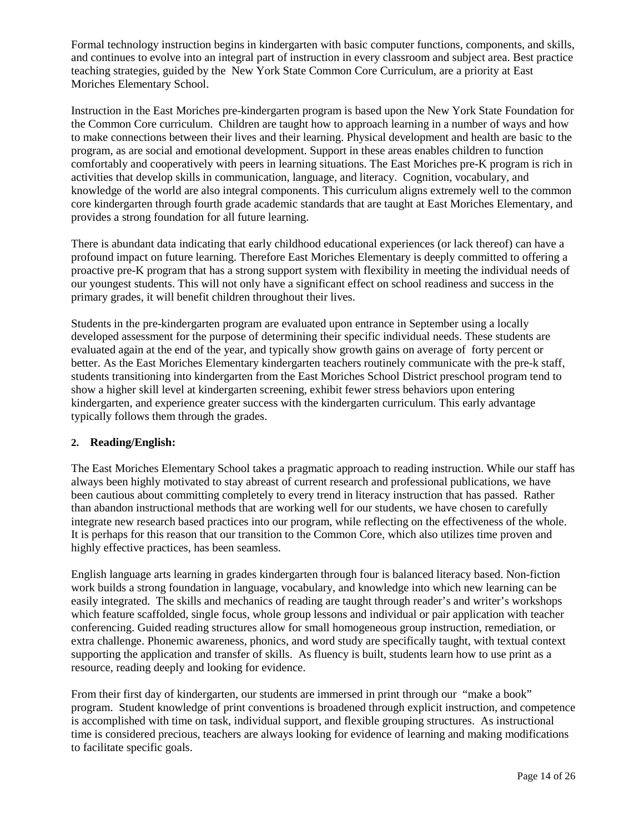Formal technology instruction begins in kindergarten with basic computer functions, components, and skills, and continues to evolve into an integral part of instruction in every classroom and subject area. Best practice teaching strategies, guided by the New York State Common Core Curriculum, are a priority at East Moriches Elementary School.

Instruction in the East Moriches pre-kindergarten program is based upon the New York State Foundation for the Common Core curriculum. Children are taught how to approach learning in a number of ways and how to make connections between their lives and their learning. Physical development and health are basic to the program, as are social and emotional development. Support in these areas enables children to function comfortably and cooperatively with peers in learning situations. The East Moriches pre-K program is rich in activities that develop skills in communication, language, and literacy. Cognition, vocabulary, and knowledge of the world are also integral components. This curriculum aligns extremely well to the common core kindergarten through fourth grade academic standards that are taught at East Moriches Elementary, and provides a strong foundation for all future learning.

There is abundant data indicating that early childhood educational experiences (or lack thereof) can have a profound impact on future learning. Therefore East Moriches Elementary is deeply committed to offering a proactive pre-K program that has a strong support system with flexibility in meeting the individual needs of our youngest students. This will not only have a significant effect on school readiness and success in the primary grades, it will benefit children throughout their lives.

Students in the pre-kindergarten program are evaluated upon entrance in September using a locally developed assessment for the purpose of determining their specific individual needs. These students are evaluated again at the end of the year, and typically show growth gains on average of forty percent or better. As the East Moriches Elementary kindergarten teachers routinely communicate with the pre-k staff, students transitioning into kindergarten from the East Moriches School District preschool program tend to show a higher skill level at kindergarten screening, exhibit fewer stress behaviors upon entering kindergarten, and experience greater success with the kindergarten curriculum. This early advantage typically follows them through the grades.

#### **2. Reading/English:**

The East Moriches Elementary School takes a pragmatic approach to reading instruction. While our staff has always been highly motivated to stay abreast of current research and professional publications, we have been cautious about committing completely to every trend in literacy instruction that has passed. Rather than abandon instructional methods that are working well for our students, we have chosen to carefully integrate new research based practices into our program, while reflecting on the effectiveness of the whole. It is perhaps for this reason that our transition to the Common Core, which also utilizes time proven and highly effective practices, has been seamless.

English language arts learning in grades kindergarten through four is balanced literacy based. Non-fiction work builds a strong foundation in language, vocabulary, and knowledge into which new learning can be easily integrated. The skills and mechanics of reading are taught through reader's and writer's workshops which feature scaffolded, single focus, whole group lessons and individual or pair application with teacher conferencing. Guided reading structures allow for small homogeneous group instruction, remediation, or extra challenge. Phonemic awareness, phonics, and word study are specifically taught, with textual context supporting the application and transfer of skills. As fluency is built, students learn how to use print as a resource, reading deeply and looking for evidence.

From their first day of kindergarten, our students are immersed in print through our "make a book" program. Student knowledge of print conventions is broadened through explicit instruction, and competence is accomplished with time on task, individual support, and flexible grouping structures. As instructional time is considered precious, teachers are always looking for evidence of learning and making modifications to facilitate specific goals.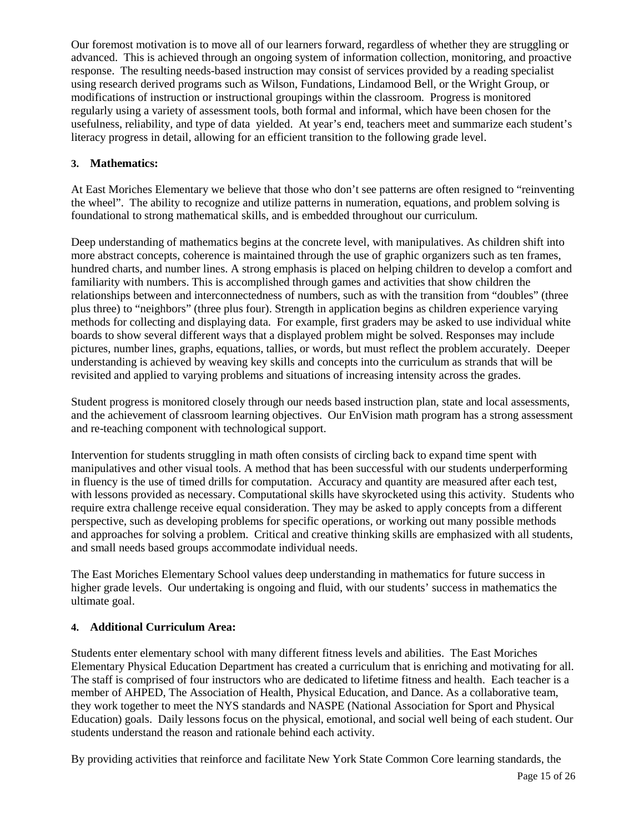Our foremost motivation is to move all of our learners forward, regardless of whether they are struggling or advanced. This is achieved through an ongoing system of information collection, monitoring, and proactive response. The resulting needs-based instruction may consist of services provided by a reading specialist using research derived programs such as Wilson, Fundations, Lindamood Bell, or the Wright Group, or modifications of instruction or instructional groupings within the classroom. Progress is monitored regularly using a variety of assessment tools, both formal and informal, which have been chosen for the usefulness, reliability, and type of data yielded. At year's end, teachers meet and summarize each student's literacy progress in detail, allowing for an efficient transition to the following grade level.

## **3. Mathematics:**

At East Moriches Elementary we believe that those who don't see patterns are often resigned to "reinventing the wheel". The ability to recognize and utilize patterns in numeration, equations, and problem solving is foundational to strong mathematical skills, and is embedded throughout our curriculum.

Deep understanding of mathematics begins at the concrete level, with manipulatives. As children shift into more abstract concepts, coherence is maintained through the use of graphic organizers such as ten frames, hundred charts, and number lines. A strong emphasis is placed on helping children to develop a comfort and familiarity with numbers. This is accomplished through games and activities that show children the relationships between and interconnectedness of numbers, such as with the transition from "doubles" (three plus three) to "neighbors" (three plus four). Strength in application begins as children experience varying methods for collecting and displaying data. For example, first graders may be asked to use individual white boards to show several different ways that a displayed problem might be solved. Responses may include pictures, number lines, graphs, equations, tallies, or words, but must reflect the problem accurately. Deeper understanding is achieved by weaving key skills and concepts into the curriculum as strands that will be revisited and applied to varying problems and situations of increasing intensity across the grades.

Student progress is monitored closely through our needs based instruction plan, state and local assessments, and the achievement of classroom learning objectives. Our EnVision math program has a strong assessment and re-teaching component with technological support.

Intervention for students struggling in math often consists of circling back to expand time spent with manipulatives and other visual tools. A method that has been successful with our students underperforming in fluency is the use of timed drills for computation. Accuracy and quantity are measured after each test, with lessons provided as necessary. Computational skills have skyrocketed using this activity. Students who require extra challenge receive equal consideration. They may be asked to apply concepts from a different perspective, such as developing problems for specific operations, or working out many possible methods and approaches for solving a problem. Critical and creative thinking skills are emphasized with all students, and small needs based groups accommodate individual needs.

The East Moriches Elementary School values deep understanding in mathematics for future success in higher grade levels. Our undertaking is ongoing and fluid, with our students' success in mathematics the ultimate goal.

## **4. Additional Curriculum Area:**

Students enter elementary school with many different fitness levels and abilities. The East Moriches Elementary Physical Education Department has created a curriculum that is enriching and motivating for all. The staff is comprised of four instructors who are dedicated to lifetime fitness and health. Each teacher is a member of AHPED, The Association of Health, Physical Education, and Dance. As a collaborative team, they work together to meet the NYS standards and NASPE (National Association for Sport and Physical Education) goals. Daily lessons focus on the physical, emotional, and social well being of each student. Our students understand the reason and rationale behind each activity.

By providing activities that reinforce and facilitate New York State Common Core learning standards, the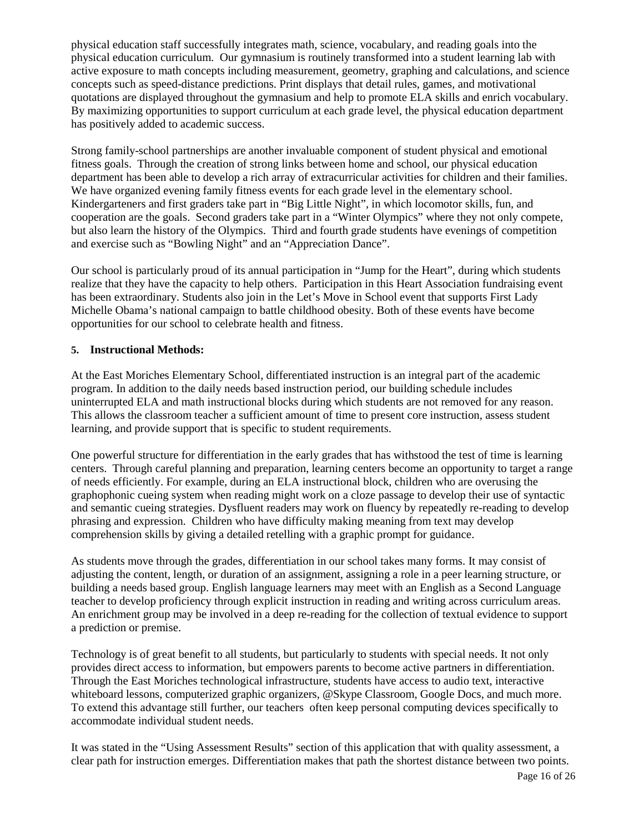physical education staff successfully integrates math, science, vocabulary, and reading goals into the physical education curriculum. Our gymnasium is routinely transformed into a student learning lab with active exposure to math concepts including measurement, geometry, graphing and calculations, and science concepts such as speed-distance predictions. Print displays that detail rules, games, and motivational quotations are displayed throughout the gymnasium and help to promote ELA skills and enrich vocabulary. By maximizing opportunities to support curriculum at each grade level, the physical education department has positively added to academic success.

Strong family-school partnerships are another invaluable component of student physical and emotional fitness goals. Through the creation of strong links between home and school, our physical education department has been able to develop a rich array of extracurricular activities for children and their families. We have organized evening family fitness events for each grade level in the elementary school. Kindergarteners and first graders take part in "Big Little Night", in which locomotor skills, fun, and cooperation are the goals. Second graders take part in a "Winter Olympics" where they not only compete, but also learn the history of the Olympics. Third and fourth grade students have evenings of competition and exercise such as "Bowling Night" and an "Appreciation Dance".

Our school is particularly proud of its annual participation in "Jump for the Heart", during which students realize that they have the capacity to help others. Participation in this Heart Association fundraising event has been extraordinary. Students also join in the Let's Move in School event that supports First Lady Michelle Obama's national campaign to battle childhood obesity. Both of these events have become opportunities for our school to celebrate health and fitness.

### **5. Instructional Methods:**

At the East Moriches Elementary School, differentiated instruction is an integral part of the academic program. In addition to the daily needs based instruction period, our building schedule includes uninterrupted ELA and math instructional blocks during which students are not removed for any reason. This allows the classroom teacher a sufficient amount of time to present core instruction, assess student learning, and provide support that is specific to student requirements.

One powerful structure for differentiation in the early grades that has withstood the test of time is learning centers. Through careful planning and preparation, learning centers become an opportunity to target a range of needs efficiently. For example, during an ELA instructional block, children who are overusing the graphophonic cueing system when reading might work on a cloze passage to develop their use of syntactic and semantic cueing strategies. Dysfluent readers may work on fluency by repeatedly re-reading to develop phrasing and expression. Children who have difficulty making meaning from text may develop comprehension skills by giving a detailed retelling with a graphic prompt for guidance.

As students move through the grades, differentiation in our school takes many forms. It may consist of adjusting the content, length, or duration of an assignment, assigning a role in a peer learning structure, or building a needs based group. English language learners may meet with an English as a Second Language teacher to develop proficiency through explicit instruction in reading and writing across curriculum areas. An enrichment group may be involved in a deep re-reading for the collection of textual evidence to support a prediction or premise.

Technology is of great benefit to all students, but particularly to students with special needs. It not only provides direct access to information, but empowers parents to become active partners in differentiation. Through the East Moriches technological infrastructure, students have access to audio text, interactive whiteboard lessons, computerized graphic organizers, @Skype Classroom, Google Docs, and much more. To extend this advantage still further, our teachers often keep personal computing devices specifically to accommodate individual student needs.

It was stated in the "Using Assessment Results" section of this application that with quality assessment, a clear path for instruction emerges. Differentiation makes that path the shortest distance between two points.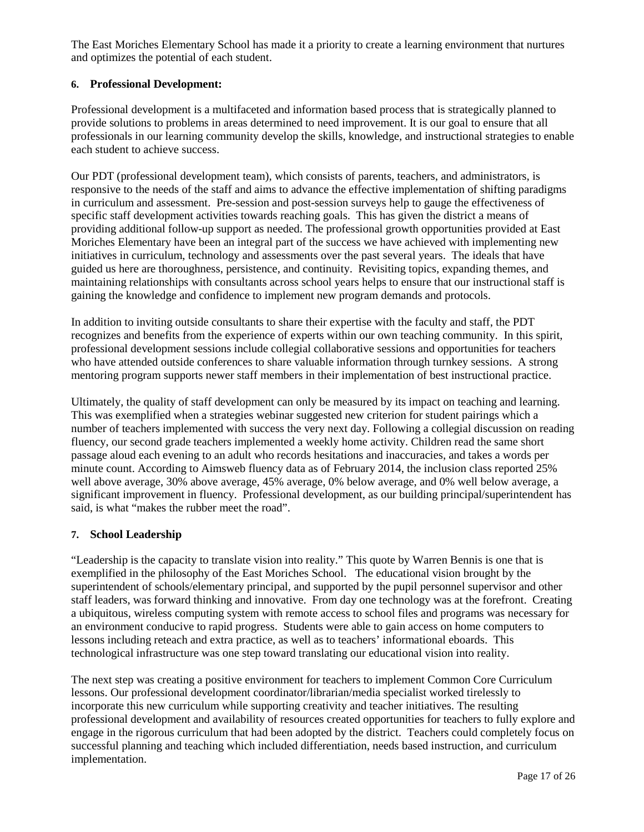The East Moriches Elementary School has made it a priority to create a learning environment that nurtures and optimizes the potential of each student.

## **6. Professional Development:**

Professional development is a multifaceted and information based process that is strategically planned to provide solutions to problems in areas determined to need improvement. It is our goal to ensure that all professionals in our learning community develop the skills, knowledge, and instructional strategies to enable each student to achieve success.

Our PDT (professional development team), which consists of parents, teachers, and administrators, is responsive to the needs of the staff and aims to advance the effective implementation of shifting paradigms in curriculum and assessment. Pre-session and post-session surveys help to gauge the effectiveness of specific staff development activities towards reaching goals. This has given the district a means of providing additional follow-up support as needed. The professional growth opportunities provided at East Moriches Elementary have been an integral part of the success we have achieved with implementing new initiatives in curriculum, technology and assessments over the past several years. The ideals that have guided us here are thoroughness, persistence, and continuity. Revisiting topics, expanding themes, and maintaining relationships with consultants across school years helps to ensure that our instructional staff is gaining the knowledge and confidence to implement new program demands and protocols.

In addition to inviting outside consultants to share their expertise with the faculty and staff, the PDT recognizes and benefits from the experience of experts within our own teaching community. In this spirit, professional development sessions include collegial collaborative sessions and opportunities for teachers who have attended outside conferences to share valuable information through turnkey sessions. A strong mentoring program supports newer staff members in their implementation of best instructional practice.

Ultimately, the quality of staff development can only be measured by its impact on teaching and learning. This was exemplified when a strategies webinar suggested new criterion for student pairings which a number of teachers implemented with success the very next day. Following a collegial discussion on reading fluency, our second grade teachers implemented a weekly home activity. Children read the same short passage aloud each evening to an adult who records hesitations and inaccuracies, and takes a words per minute count. According to Aimsweb fluency data as of February 2014, the inclusion class reported 25% well above average, 30% above average, 45% average, 0% below average, and 0% well below average, a significant improvement in fluency. Professional development, as our building principal/superintendent has said, is what "makes the rubber meet the road".

## **7. School Leadership**

"Leadership is the capacity to translate vision into reality." This quote by Warren Bennis is one that is exemplified in the philosophy of the East Moriches School. The educational vision brought by the superintendent of schools/elementary principal, and supported by the pupil personnel supervisor and other staff leaders, was forward thinking and innovative. From day one technology was at the forefront. Creating a ubiquitous, wireless computing system with remote access to school files and programs was necessary for an environment conducive to rapid progress. Students were able to gain access on home computers to lessons including reteach and extra practice, as well as to teachers' informational eboards. This technological infrastructure was one step toward translating our educational vision into reality.

The next step was creating a positive environment for teachers to implement Common Core Curriculum lessons. Our professional development coordinator/librarian/media specialist worked tirelessly to incorporate this new curriculum while supporting creativity and teacher initiatives. The resulting professional development and availability of resources created opportunities for teachers to fully explore and engage in the rigorous curriculum that had been adopted by the district. Teachers could completely focus on successful planning and teaching which included differentiation, needs based instruction, and curriculum implementation.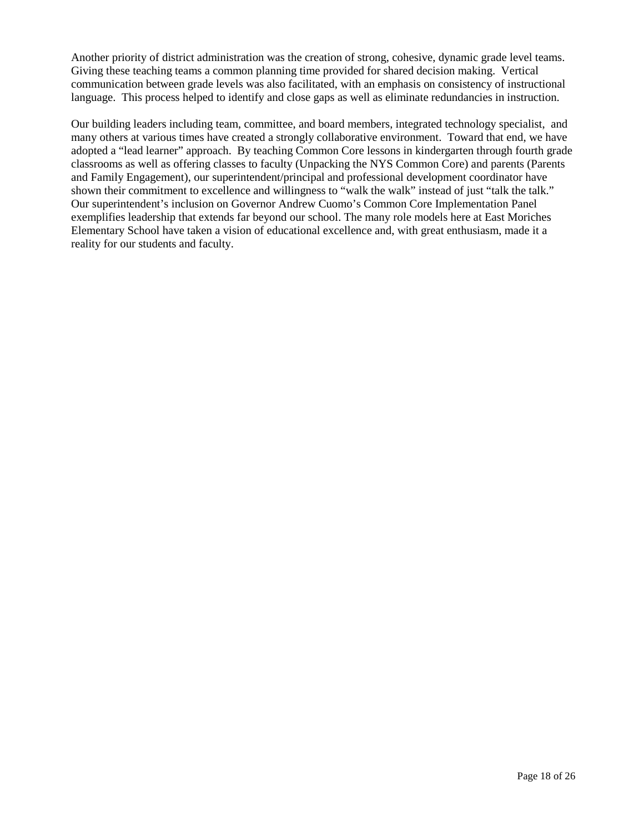Another priority of district administration was the creation of strong, cohesive, dynamic grade level teams. Giving these teaching teams a common planning time provided for shared decision making. Vertical communication between grade levels was also facilitated, with an emphasis on consistency of instructional language. This process helped to identify and close gaps as well as eliminate redundancies in instruction.

Our building leaders including team, committee, and board members, integrated technology specialist, and many others at various times have created a strongly collaborative environment. Toward that end, we have adopted a "lead learner" approach. By teaching Common Core lessons in kindergarten through fourth grade classrooms as well as offering classes to faculty (Unpacking the NYS Common Core) and parents (Parents and Family Engagement), our superintendent/principal and professional development coordinator have shown their commitment to excellence and willingness to "walk the walk" instead of just "talk the talk." Our superintendent's inclusion on Governor Andrew Cuomo's Common Core Implementation Panel exemplifies leadership that extends far beyond our school. The many role models here at East Moriches Elementary School have taken a vision of educational excellence and, with great enthusiasm, made it a reality for our students and faculty.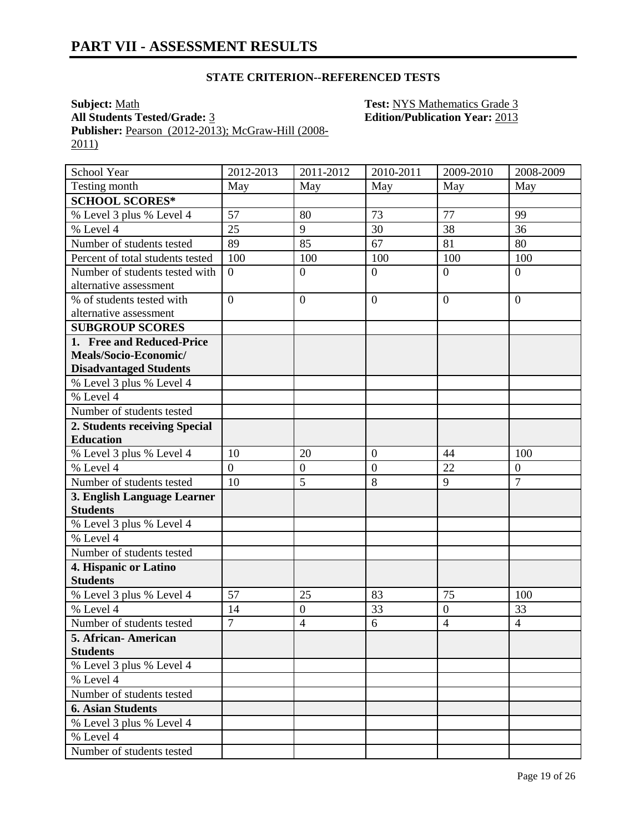## **STATE CRITERION--REFERENCED TESTS**

**Subject:** <u>Math **Test:** NYS Mathematics Grade 3</u><br>**All Students Tested/Grade:** 3<br>**Edition/Publication Year:** 2013 **Publisher:** Pearson (2012-2013); McGraw-Hill (2008- 2011)

**Edition/Publication Year: 2013** 

| School Year                                    | 2012-2013      | 2011-2012        | 2010-2011        | 2009-2010        | 2008-2009      |
|------------------------------------------------|----------------|------------------|------------------|------------------|----------------|
| Testing month                                  | May            | May              | May              | May              | May            |
| <b>SCHOOL SCORES*</b>                          |                |                  |                  |                  |                |
| % Level 3 plus % Level 4                       | 57             | 80               | 73               | 77               | 99             |
| % Level 4                                      | 25             | 9                | 30               | 38               | 36             |
| Number of students tested                      | 89             | 85               | 67               | 81               | 80             |
| Percent of total students tested               | 100            | 100              | 100              | 100              | 100            |
| Number of students tested with                 | $\overline{0}$ | $\overline{0}$   | $\overline{0}$   | $\overline{0}$   | $\overline{0}$ |
| alternative assessment                         |                |                  |                  |                  |                |
| % of students tested with                      | $\overline{0}$ | $\overline{0}$   | $\overline{0}$   | $\overline{0}$   | $\overline{0}$ |
| alternative assessment                         |                |                  |                  |                  |                |
| <b>SUBGROUP SCORES</b>                         |                |                  |                  |                  |                |
| 1. Free and Reduced-Price                      |                |                  |                  |                  |                |
| Meals/Socio-Economic/                          |                |                  |                  |                  |                |
| <b>Disadvantaged Students</b>                  |                |                  |                  |                  |                |
| % Level 3 plus % Level 4                       |                |                  |                  |                  |                |
| % Level 4                                      |                |                  |                  |                  |                |
| Number of students tested                      |                |                  |                  |                  |                |
| 2. Students receiving Special                  |                |                  |                  |                  |                |
| <b>Education</b>                               |                |                  |                  |                  |                |
| % Level 3 plus % Level 4                       | 10             | 20               | $\overline{0}$   | 44               | 100            |
| % Level 4                                      | $\overline{0}$ | $\boldsymbol{0}$ | $\boldsymbol{0}$ | 22               | $\mathbf{0}$   |
| Number of students tested                      | 10             | 5                | 8                | 9                | $\overline{7}$ |
| 3. English Language Learner<br><b>Students</b> |                |                  |                  |                  |                |
| % Level 3 plus % Level 4                       |                |                  |                  |                  |                |
| % Level 4                                      |                |                  |                  |                  |                |
| Number of students tested                      |                |                  |                  |                  |                |
| 4. Hispanic or Latino                          |                |                  |                  |                  |                |
| <b>Students</b>                                |                |                  |                  |                  |                |
| % Level 3 plus % Level 4                       | 57             | 25               | 83               | 75               | 100            |
| % Level 4                                      | 14             | $\boldsymbol{0}$ | 33               | $\boldsymbol{0}$ | 33             |
| Number of students tested                      | $\overline{7}$ | $\overline{4}$   | 6                | $\overline{4}$   | $\overline{4}$ |
| 5. African-American                            |                |                  |                  |                  |                |
| <b>Students</b>                                |                |                  |                  |                  |                |
| % Level 3 plus % Level 4                       |                |                  |                  |                  |                |
| % Level 4                                      |                |                  |                  |                  |                |
| Number of students tested                      |                |                  |                  |                  |                |
| <b>6. Asian Students</b>                       |                |                  |                  |                  |                |
| % Level 3 plus % Level 4                       |                |                  |                  |                  |                |
| % Level 4                                      |                |                  |                  |                  |                |
| Number of students tested                      |                |                  |                  |                  |                |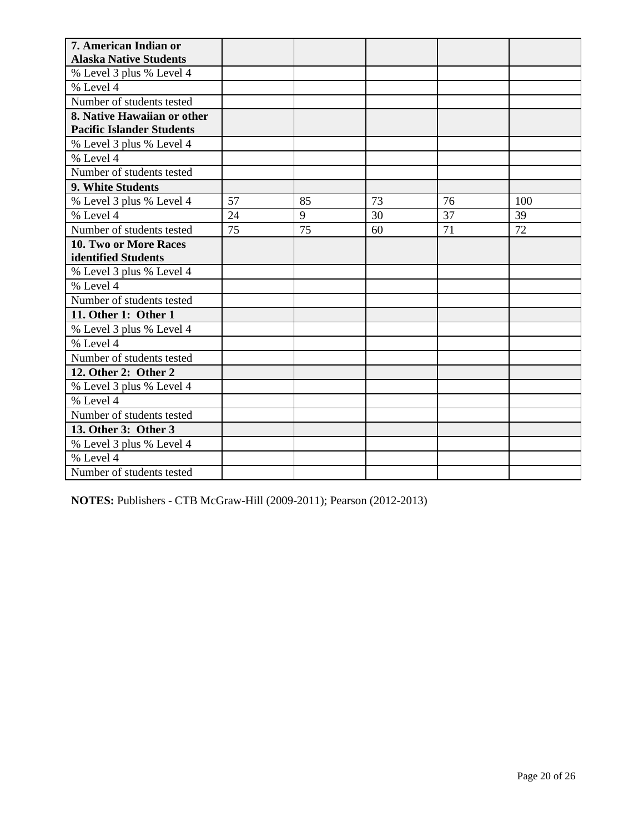| 7. American Indian or            |    |    |    |    |     |
|----------------------------------|----|----|----|----|-----|
| <b>Alaska Native Students</b>    |    |    |    |    |     |
| % Level 3 plus % Level 4         |    |    |    |    |     |
| % Level 4                        |    |    |    |    |     |
| Number of students tested        |    |    |    |    |     |
| 8. Native Hawaiian or other      |    |    |    |    |     |
| <b>Pacific Islander Students</b> |    |    |    |    |     |
| % Level 3 plus % Level 4         |    |    |    |    |     |
| % Level 4                        |    |    |    |    |     |
| Number of students tested        |    |    |    |    |     |
| 9. White Students                |    |    |    |    |     |
| % Level 3 plus % Level 4         | 57 | 85 | 73 | 76 | 100 |
| % Level 4                        | 24 | 9  | 30 | 37 | 39  |
| Number of students tested        | 75 | 75 | 60 | 71 | 72  |
| 10. Two or More Races            |    |    |    |    |     |
| identified Students              |    |    |    |    |     |
| % Level 3 plus % Level 4         |    |    |    |    |     |
| % Level 4                        |    |    |    |    |     |
| Number of students tested        |    |    |    |    |     |
| 11. Other 1: Other 1             |    |    |    |    |     |
| % Level 3 plus % Level 4         |    |    |    |    |     |
| % Level 4                        |    |    |    |    |     |
| Number of students tested        |    |    |    |    |     |
| 12. Other 2: Other 2             |    |    |    |    |     |
| % Level 3 plus % Level 4         |    |    |    |    |     |
| % Level 4                        |    |    |    |    |     |
| Number of students tested        |    |    |    |    |     |
| 13. Other 3: Other 3             |    |    |    |    |     |
| % Level 3 plus % Level 4         |    |    |    |    |     |
| % Level 4                        |    |    |    |    |     |
| Number of students tested        |    |    |    |    |     |

**NOTES:** Publishers - CTB McGraw-Hill (2009-2011); Pearson (2012-2013)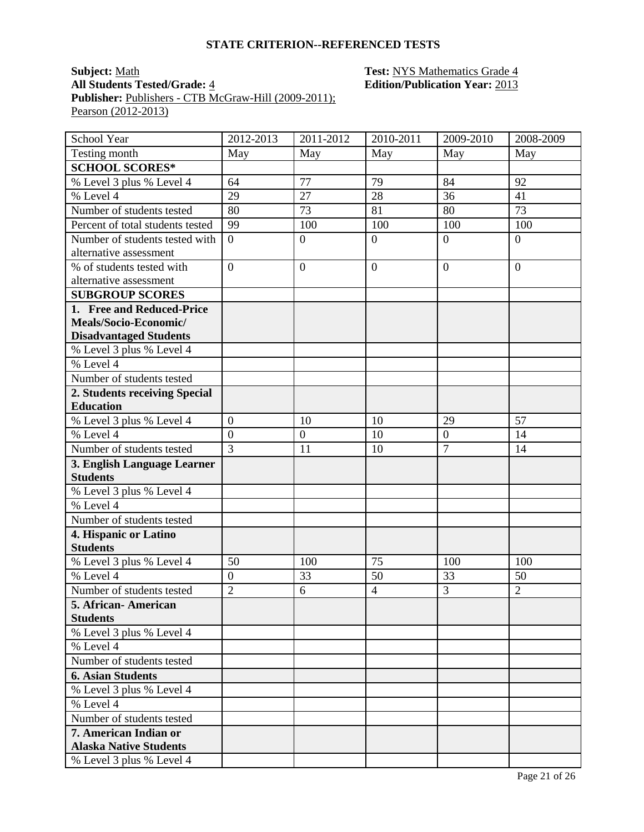#### **STATE CRITERION--REFERENCED TESTS**

# **Subject:** <u>Math **Test:** NYS Mathematics Grade 4</u><br> **All Students Tested/Grade:** 4 **Test: Edition/Publication Year:** 2013 Publisher: Publishers - CTB McGraw-Hill (2009-2011); Pearson (2012-2013)

# **All Students Tested/Grade:** 4 **Edition/Publication Year:** 2013

| <b>School Year</b>                                       | 2012-2013        | 2011-2012        | 2010-2011      | 2009-2010      | 2008-2009      |
|----------------------------------------------------------|------------------|------------------|----------------|----------------|----------------|
| Testing month                                            |                  |                  |                |                |                |
| <b>SCHOOL SCORES*</b>                                    | May              | May              | May            | May            | May            |
| % Level 3 plus % Level 4                                 | 64               | 77               | 79             | 84             | 92             |
| % Level 4                                                | 29               | 27               | 28             | 36             | 41             |
|                                                          |                  |                  |                |                |                |
| Number of students tested                                | 80               | 73               | 81             | 80             | 73             |
| Percent of total students tested                         | 99               | 100              | 100            | 100            | 100            |
| Number of students tested with<br>alternative assessment | $\overline{0}$   | $\overline{0}$   | $\mathbf{0}$   | $\overline{0}$ | $\overline{0}$ |
| % of students tested with                                | $\overline{0}$   | $\boldsymbol{0}$ | $\overline{0}$ | $\overline{0}$ | $\theta$       |
| alternative assessment                                   |                  |                  |                |                |                |
| <b>SUBGROUP SCORES</b>                                   |                  |                  |                |                |                |
| 1. Free and Reduced-Price                                |                  |                  |                |                |                |
| Meals/Socio-Economic/                                    |                  |                  |                |                |                |
| <b>Disadvantaged Students</b>                            |                  |                  |                |                |                |
| % Level 3 plus % Level 4                                 |                  |                  |                |                |                |
| % Level 4                                                |                  |                  |                |                |                |
| Number of students tested                                |                  |                  |                |                |                |
| 2. Students receiving Special                            |                  |                  |                |                |                |
| <b>Education</b>                                         |                  |                  |                |                |                |
| % Level 3 plus % Level 4                                 | $\boldsymbol{0}$ | 10               | 10             | 29             | 57             |
| % Level 4                                                | $\overline{0}$   | $\overline{0}$   | 10             | $\overline{0}$ | 14             |
| Number of students tested                                | $\overline{3}$   | 11               | 10             | $\overline{7}$ | 14             |
| 3. English Language Learner                              |                  |                  |                |                |                |
| <b>Students</b>                                          |                  |                  |                |                |                |
| % Level 3 plus % Level 4                                 |                  |                  |                |                |                |
| % Level 4                                                |                  |                  |                |                |                |
| Number of students tested                                |                  |                  |                |                |                |
| 4. Hispanic or Latino                                    |                  |                  |                |                |                |
| <b>Students</b>                                          |                  |                  |                |                |                |
| % Level 3 plus % Level 4                                 | 50               | 100              | 75             | 100            | 100            |
| % Level 4                                                | $\overline{0}$   | 33               | 50             | 33             | 50             |
| Number of students tested                                | $\overline{2}$   | 6                | $\overline{4}$ | 3              | $\overline{2}$ |
| 5. African-American                                      |                  |                  |                |                |                |
| <b>Students</b>                                          |                  |                  |                |                |                |
| % Level 3 plus % Level 4                                 |                  |                  |                |                |                |
| % Level 4                                                |                  |                  |                |                |                |
| Number of students tested                                |                  |                  |                |                |                |
| <b>6. Asian Students</b>                                 |                  |                  |                |                |                |
| % Level 3 plus % Level 4                                 |                  |                  |                |                |                |
| % Level 4                                                |                  |                  |                |                |                |
| Number of students tested                                |                  |                  |                |                |                |
| 7. American Indian or                                    |                  |                  |                |                |                |
| <b>Alaska Native Students</b>                            |                  |                  |                |                |                |
| % Level 3 plus % Level 4                                 |                  |                  |                |                |                |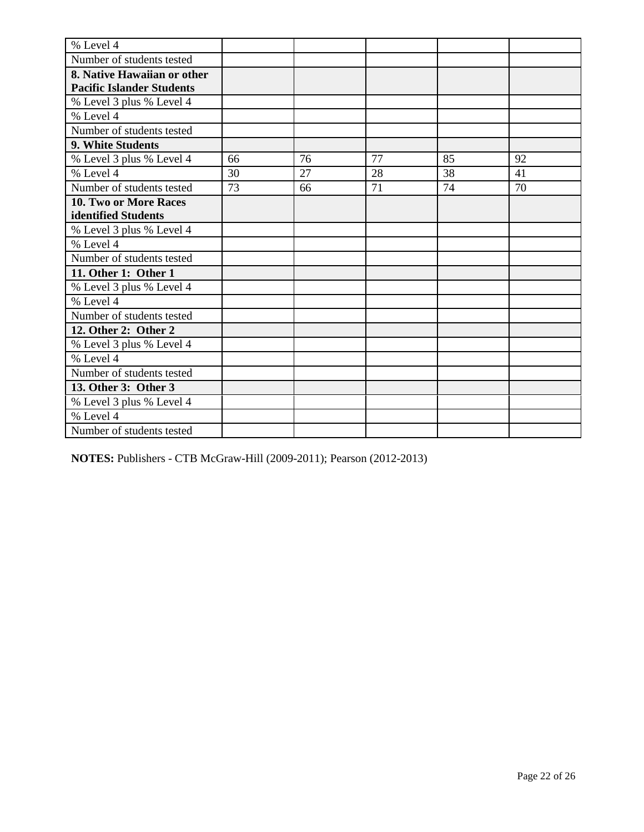| % Level 4                        |    |    |    |    |    |
|----------------------------------|----|----|----|----|----|
| Number of students tested        |    |    |    |    |    |
| 8. Native Hawaiian or other      |    |    |    |    |    |
| <b>Pacific Islander Students</b> |    |    |    |    |    |
| % Level 3 plus % Level 4         |    |    |    |    |    |
| % Level 4                        |    |    |    |    |    |
| Number of students tested        |    |    |    |    |    |
| 9. White Students                |    |    |    |    |    |
| % Level 3 plus % Level 4         | 66 | 76 | 77 | 85 | 92 |
| % Level 4                        | 30 | 27 | 28 | 38 | 41 |
| Number of students tested        | 73 | 66 | 71 | 74 | 70 |
| <b>10. Two or More Races</b>     |    |    |    |    |    |
| identified Students              |    |    |    |    |    |
| % Level 3 plus % Level 4         |    |    |    |    |    |
| % Level 4                        |    |    |    |    |    |
| Number of students tested        |    |    |    |    |    |
| 11. Other 1: Other 1             |    |    |    |    |    |
| % Level 3 plus % Level 4         |    |    |    |    |    |
| % Level 4                        |    |    |    |    |    |
| Number of students tested        |    |    |    |    |    |
| 12. Other 2: Other 2             |    |    |    |    |    |
| % Level 3 plus % Level 4         |    |    |    |    |    |
| % Level 4                        |    |    |    |    |    |
| Number of students tested        |    |    |    |    |    |
| 13. Other 3: Other 3             |    |    |    |    |    |
| % Level 3 plus % Level 4         |    |    |    |    |    |
| % Level 4                        |    |    |    |    |    |
| Number of students tested        |    |    |    |    |    |

**NOTES:** Publishers - CTB McGraw-Hill (2009-2011); Pearson (2012-2013)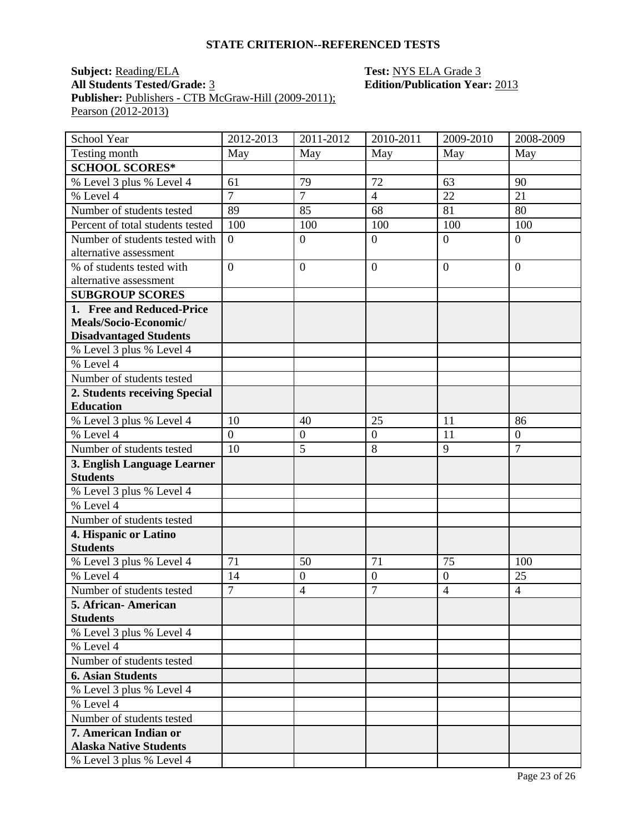#### **STATE CRITERION--REFERENCED TESTS**

# **Subject:** <u>Reading/ELA</u> **Test:** <u>NYS ELA Grade 3</u><br> **All Students Tested/Grade:** 3<br> **Edition/Publication Yea** Publisher: Publishers - CTB McGraw-Hill (2009-2011); Pearson (2012-2013)

# **All Students Tested/Grade:** 3 **Edition/Publication Year:** 2013

| School Year                                            | 2012-2013      | 2011-2012        | 2010-2011        | 2009-2010        | 2008-2009        |
|--------------------------------------------------------|----------------|------------------|------------------|------------------|------------------|
| Testing month                                          | May            | May              | May              | May              | May              |
| <b>SCHOOL SCORES*</b>                                  |                |                  |                  |                  |                  |
| % Level 3 plus % Level 4                               | 61             | 79               | 72               | 63               | 90               |
| % Level 4                                              | $\overline{7}$ | $\overline{7}$   | $\overline{4}$   | 22               | 21               |
| Number of students tested                              | 89             | 85               | 68               | 81               | 80               |
| Percent of total students tested                       | 100            | 100              | 100              | 100              | 100              |
| Number of students tested with                         | $\overline{0}$ | $\boldsymbol{0}$ | $\boldsymbol{0}$ | $\boldsymbol{0}$ | $\overline{0}$   |
| alternative assessment                                 |                |                  |                  |                  |                  |
| % of students tested with                              | $\overline{0}$ | $\overline{0}$   | $\overline{0}$   | $\overline{0}$   | $\overline{0}$   |
| alternative assessment                                 |                |                  |                  |                  |                  |
| <b>SUBGROUP SCORES</b>                                 |                |                  |                  |                  |                  |
| 1. Free and Reduced-Price                              |                |                  |                  |                  |                  |
| Meals/Socio-Economic/                                  |                |                  |                  |                  |                  |
| <b>Disadvantaged Students</b>                          |                |                  |                  |                  |                  |
| % Level 3 plus % Level 4                               |                |                  |                  |                  |                  |
| $%$ Level 4                                            |                |                  |                  |                  |                  |
| Number of students tested                              |                |                  |                  |                  |                  |
| 2. Students receiving Special                          |                |                  |                  |                  |                  |
| <b>Education</b>                                       |                |                  |                  |                  |                  |
| % Level 3 plus % Level 4                               | 10             | 40               | 25               | 11               | 86               |
| % Level 4                                              | $\overline{0}$ | $\boldsymbol{0}$ | $\boldsymbol{0}$ | 11               | $\boldsymbol{0}$ |
| Number of students tested                              | 10             | $\overline{5}$   | 8                | $\overline{9}$   | $\overline{7}$   |
| 3. English Language Learner                            |                |                  |                  |                  |                  |
| <b>Students</b>                                        |                |                  |                  |                  |                  |
| % Level 3 plus % Level 4                               |                |                  |                  |                  |                  |
| % Level 4                                              |                |                  |                  |                  |                  |
| Number of students tested                              |                |                  |                  |                  |                  |
| 4. Hispanic or Latino                                  |                |                  |                  |                  |                  |
| <b>Students</b>                                        |                |                  |                  |                  |                  |
| % Level 3 plus % Level 4                               | 71             | 50               | 71               | 75               | 100              |
| % Level 4                                              | 14             | $\boldsymbol{0}$ | $\overline{0}$   | $\boldsymbol{0}$ | 25               |
| Number of students tested                              | $\overline{7}$ | $\overline{4}$   | $\overline{7}$   | $\overline{4}$   | $\overline{4}$   |
| 5. African-American                                    |                |                  |                  |                  |                  |
| <b>Students</b>                                        |                |                  |                  |                  |                  |
| % Level 3 plus % Level 4                               |                |                  |                  |                  |                  |
| % Level 4                                              |                |                  |                  |                  |                  |
| Number of students tested                              |                |                  |                  |                  |                  |
| <b>6. Asian Students</b>                               |                |                  |                  |                  |                  |
| % Level 3 plus % Level 4                               |                |                  |                  |                  |                  |
| % Level 4                                              |                |                  |                  |                  |                  |
| Number of students tested                              |                |                  |                  |                  |                  |
| 7. American Indian or<br><b>Alaska Native Students</b> |                |                  |                  |                  |                  |
| % Level 3 plus % Level 4                               |                |                  |                  |                  |                  |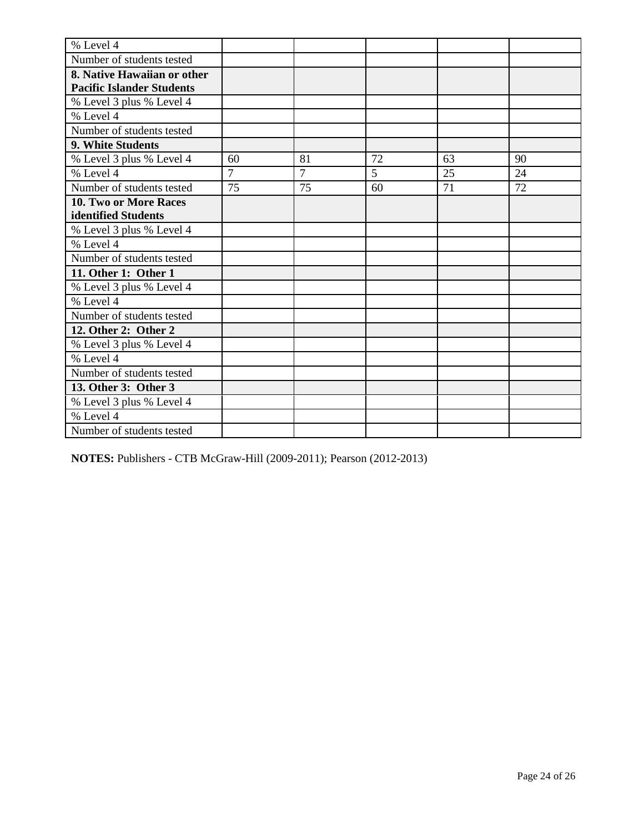| % Level 4                                                       |                |    |    |    |    |
|-----------------------------------------------------------------|----------------|----|----|----|----|
| Number of students tested                                       |                |    |    |    |    |
| 8. Native Hawaiian or other<br><b>Pacific Islander Students</b> |                |    |    |    |    |
| % Level 3 plus % Level 4                                        |                |    |    |    |    |
| % Level 4                                                       |                |    |    |    |    |
| Number of students tested                                       |                |    |    |    |    |
| 9. White Students                                               |                |    |    |    |    |
| % Level 3 plus % Level 4                                        | 60             | 81 | 72 | 63 | 90 |
| % Level 4                                                       | $\overline{7}$ | 7  | 5  | 25 | 24 |
| Number of students tested                                       | 75             | 75 | 60 | 71 | 72 |
| <b>10. Two or More Races</b><br>identified Students             |                |    |    |    |    |
| % Level 3 plus % Level 4                                        |                |    |    |    |    |
| % Level 4                                                       |                |    |    |    |    |
| Number of students tested                                       |                |    |    |    |    |
| 11. Other 1: Other 1                                            |                |    |    |    |    |
| % Level 3 plus % Level 4                                        |                |    |    |    |    |
| % Level 4                                                       |                |    |    |    |    |
| Number of students tested                                       |                |    |    |    |    |
| 12. Other 2: Other 2                                            |                |    |    |    |    |
| % Level 3 plus % Level 4                                        |                |    |    |    |    |
| % Level 4                                                       |                |    |    |    |    |
| Number of students tested                                       |                |    |    |    |    |
| 13. Other 3: Other 3                                            |                |    |    |    |    |
| % Level 3 plus % Level 4                                        |                |    |    |    |    |
| % Level 4                                                       |                |    |    |    |    |
| Number of students tested                                       |                |    |    |    |    |

**NOTES:** Publishers - CTB McGraw-Hill (2009-2011); Pearson (2012-2013)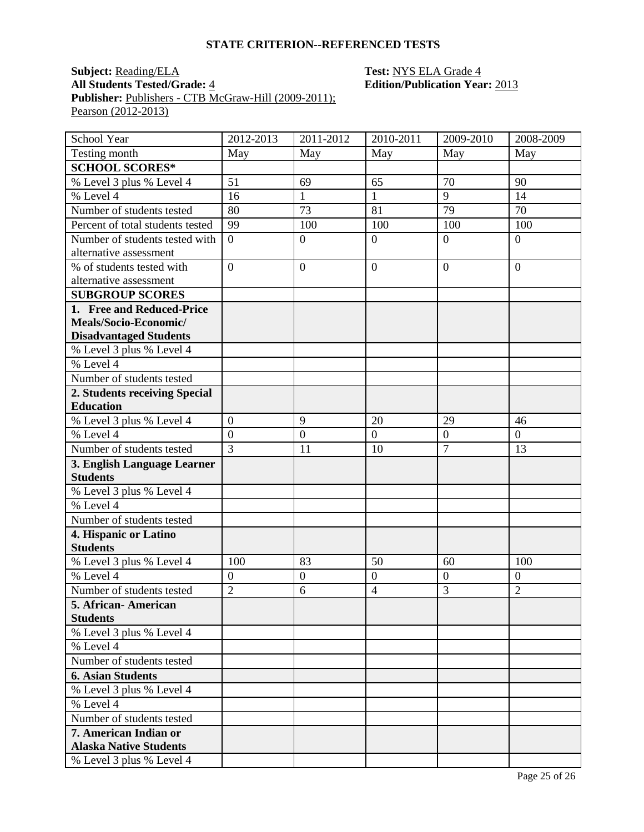#### **STATE CRITERION--REFERENCED TESTS**

# **Subject:** <u>Reading/ELA</u> **Test: NYS ELA Grade 4**<br> **All Students Tested/Grade:** 4 **Reading 2 Edition/Publication Yea** Publisher: Publishers - CTB McGraw-Hill (2009-2011); Pearson (2012-2013)

# **All Students Tested/Grade:** 4 **Edition/Publication Year:** 2013

| <b>School Year</b>               | 2012-2013        | 2011-2012        | 2010-2011        | 2009-2010        | 2008-2009        |
|----------------------------------|------------------|------------------|------------------|------------------|------------------|
| Testing month                    | May              | May              | May              | May              | May              |
| <b>SCHOOL SCORES*</b>            |                  |                  |                  |                  |                  |
| % Level 3 plus % Level 4         | 51               | 69               | 65               | 70               | 90               |
| % Level 4                        | 16               | $\mathbf{1}$     | 1                | $\overline{9}$   | 14               |
| Number of students tested        | 80               | 73               | 81               | 79               | 70               |
| Percent of total students tested | 99               | 100              | 100              | 100              | 100              |
| Number of students tested with   | $\overline{0}$   | $\boldsymbol{0}$ | $\boldsymbol{0}$ | $\boldsymbol{0}$ | $\overline{0}$   |
| alternative assessment           |                  |                  |                  |                  |                  |
| % of students tested with        | $\overline{0}$   | $\overline{0}$   | $\overline{0}$   | $\overline{0}$   | $\overline{0}$   |
| alternative assessment           |                  |                  |                  |                  |                  |
| <b>SUBGROUP SCORES</b>           |                  |                  |                  |                  |                  |
| 1. Free and Reduced-Price        |                  |                  |                  |                  |                  |
| Meals/Socio-Economic/            |                  |                  |                  |                  |                  |
| <b>Disadvantaged Students</b>    |                  |                  |                  |                  |                  |
| % Level 3 plus % Level 4         |                  |                  |                  |                  |                  |
| % Level 4                        |                  |                  |                  |                  |                  |
| Number of students tested        |                  |                  |                  |                  |                  |
| 2. Students receiving Special    |                  |                  |                  |                  |                  |
| <b>Education</b>                 |                  |                  |                  |                  |                  |
| % Level 3 plus % Level 4         | $\mathbf{0}$     | 9                | 20               | 29               | 46               |
| % Level 4                        | $\boldsymbol{0}$ | $\boldsymbol{0}$ | $\overline{0}$   | $\boldsymbol{0}$ | $\overline{0}$   |
| Number of students tested        | $\overline{3}$   | 11               | 10               | $\overline{7}$   | 13               |
| 3. English Language Learner      |                  |                  |                  |                  |                  |
| <b>Students</b>                  |                  |                  |                  |                  |                  |
| % Level 3 plus % Level 4         |                  |                  |                  |                  |                  |
| % Level 4                        |                  |                  |                  |                  |                  |
| Number of students tested        |                  |                  |                  |                  |                  |
| 4. Hispanic or Latino            |                  |                  |                  |                  |                  |
| <b>Students</b>                  |                  |                  |                  |                  |                  |
| % Level 3 plus % Level 4         | 100              | 83               | 50               | 60               | 100              |
| % Level 4                        | $\overline{0}$   | $\boldsymbol{0}$ | $\overline{0}$   | $\boldsymbol{0}$ | $\boldsymbol{0}$ |
| Number of students tested        | $\overline{2}$   | 6                | $\overline{4}$   | 3                | $\overline{2}$   |
| 5. African-American              |                  |                  |                  |                  |                  |
| <b>Students</b>                  |                  |                  |                  |                  |                  |
| % Level 3 plus % Level 4         |                  |                  |                  |                  |                  |
| % Level 4                        |                  |                  |                  |                  |                  |
| Number of students tested        |                  |                  |                  |                  |                  |
| <b>6. Asian Students</b>         |                  |                  |                  |                  |                  |
| % Level 3 plus % Level 4         |                  |                  |                  |                  |                  |
| % Level 4                        |                  |                  |                  |                  |                  |
| Number of students tested        |                  |                  |                  |                  |                  |
| 7. American Indian or            |                  |                  |                  |                  |                  |
| <b>Alaska Native Students</b>    |                  |                  |                  |                  |                  |
| % Level 3 plus % Level 4         |                  |                  |                  |                  |                  |